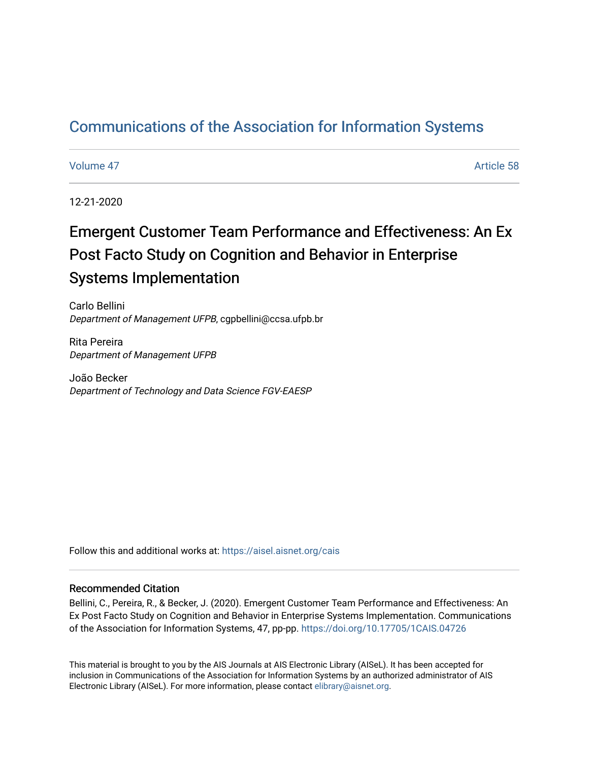# [Communications of the Association for Information Systems](https://aisel.aisnet.org/cais)

[Volume 47](https://aisel.aisnet.org/cais/vol47) Article 58

12-21-2020

# Emergent Customer Team Performance and Effectiveness: An Ex Post Facto Study on Cognition and Behavior in Enterprise Systems Implementation

Carlo Bellini Department of Management UFPB, cgpbellini@ccsa.ufpb.br

Rita Pereira Department of Management UFPB

João Becker Department of Technology and Data Science FGV-EAESP

Follow this and additional works at: [https://aisel.aisnet.org/cais](https://aisel.aisnet.org/cais?utm_source=aisel.aisnet.org%2Fcais%2Fvol47%2Fiss1%2F58&utm_medium=PDF&utm_campaign=PDFCoverPages)

#### Recommended Citation

Bellini, C., Pereira, R., & Becker, J. (2020). Emergent Customer Team Performance and Effectiveness: An Ex Post Facto Study on Cognition and Behavior in Enterprise Systems Implementation. Communications of the Association for Information Systems, 47, pp-pp.<https://doi.org/10.17705/1CAIS.04726>

This material is brought to you by the AIS Journals at AIS Electronic Library (AISeL). It has been accepted for inclusion in Communications of the Association for Information Systems by an authorized administrator of AIS Electronic Library (AISeL). For more information, please contact [elibrary@aisnet.org.](mailto:elibrary@aisnet.org%3E)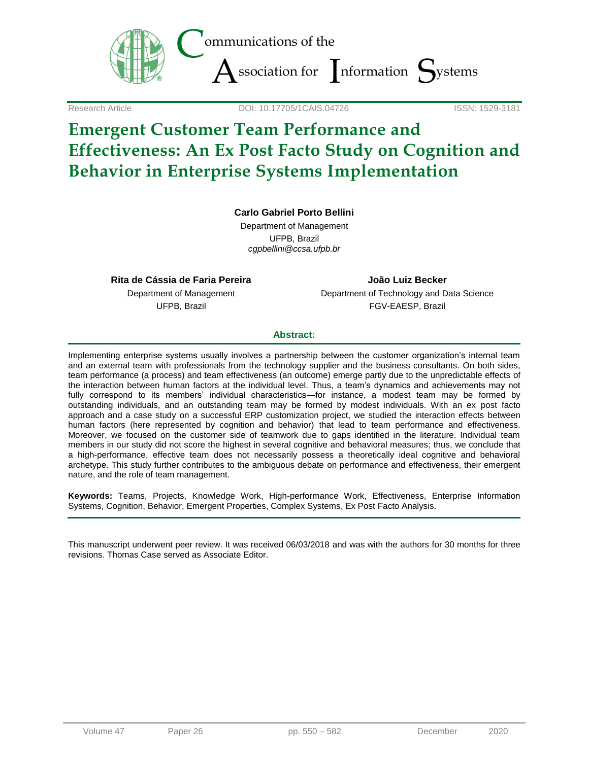

Research Article DOI: 10.17705/1CAIS.04726 ISSN: 1529-3181

# **Emergent Customer Team Performance and Effectiveness: An Ex Post Facto Study on Cognition and Behavior in Enterprise Systems Implementation**

#### **Carlo Gabriel Porto Bellini**

Department of Management UFPB, Brazil *cgpbellini@ccsa.ufpb.br*

**Rita de Cássia de Faria Pereira** Department of Management UFPB, Brazil

**João Luiz Becker** Department of Technology and Data Science FGV-EAESP, Brazil

#### **Abstract:**

Implementing enterprise systems usually involves a partnership between the customer organization's internal team and an external team with professionals from the technology supplier and the business consultants. On both sides, team performance (a process) and team effectiveness (an outcome) emerge partly due to the unpredictable effects of the interaction between human factors at the individual level. Thus, a team's dynamics and achievements may not fully correspond to its members' individual characteristics—for instance, a modest team may be formed by outstanding individuals, and an outstanding team may be formed by modest individuals. With an ex post facto approach and a case study on a successful ERP customization project, we studied the interaction effects between human factors (here represented by cognition and behavior) that lead to team performance and effectiveness. Moreover, we focused on the customer side of teamwork due to gaps identified in the literature. Individual team members in our study did not score the highest in several cognitive and behavioral measures; thus, we conclude that a high-performance, effective team does not necessarily possess a theoretically ideal cognitive and behavioral archetype. This study further contributes to the ambiguous debate on performance and effectiveness, their emergent nature, and the role of team management.

**Keywords:** Teams, Projects, Knowledge Work, High-performance Work, Effectiveness, Enterprise Information Systems, Cognition, Behavior, Emergent Properties, Complex Systems, Ex Post Facto Analysis.

This manuscript underwent peer review. It was received 06/03/2018 and was with the authors for 30 months for three revisions. Thomas Case served as Associate Editor.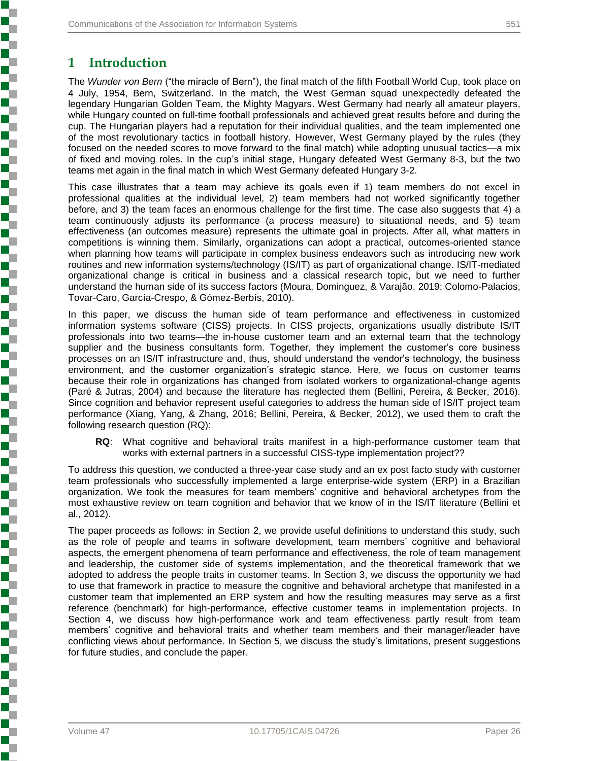## **1 Introduction**

The *Wunder von Bern* ("the miracle of Bern"), the final match of the fifth Football World Cup, took place on 4 July, 1954, Bern, Switzerland. In the match, the West German squad unexpectedly defeated the legendary Hungarian Golden Team, the Mighty Magyars. West Germany had nearly all amateur players, while Hungary counted on full-time football professionals and achieved great results before and during the cup. The Hungarian players had a reputation for their individual qualities, and the team implemented one of the most revolutionary tactics in football history. However, West Germany played by the rules (they focused on the needed scores to move forward to the final match) while adopting unusual tactics—a mix of fixed and moving roles. In the cup's initial stage, Hungary defeated West Germany 8-3, but the two teams met again in the final match in which West Germany defeated Hungary 3-2.

This case illustrates that a team may achieve its goals even if 1) team members do not excel in professional qualities at the individual level, 2) team members had not worked significantly together before, and 3) the team faces an enormous challenge for the first time. The case also suggests that 4) a team continuously adjusts its performance (a process measure) to situational needs, and 5) team effectiveness (an outcomes measure) represents the ultimate goal in projects. After all, what matters in competitions is winning them. Similarly, organizations can adopt a practical, outcomes-oriented stance when planning how teams will participate in complex business endeavors such as introducing new work routines and new information systems/technology (IS/IT) as part of organizational change. IS/IT-mediated organizational change is critical in business and a classical research topic, but we need to further understand the human side of its success factors (Moura, Dominguez, & Varajão, 2019; Colomo-Palacios, Tovar-Caro, García-Crespo, & Gómez-Berbís, 2010).

In this paper, we discuss the human side of team performance and effectiveness in customized information systems software (CISS) projects. In CISS projects, organizations usually distribute IS/IT professionals into two teams—the in-house customer team and an external team that the technology supplier and the business consultants form. Together, they implement the customer's core business processes on an IS/IT infrastructure and, thus, should understand the vendor's technology, the business environment, and the customer organization's strategic stance. Here, we focus on customer teams because their role in organizations has changed from isolated workers to organizational-change agents (Paré & Jutras, 2004) and because the literature has neglected them (Bellini, Pereira, & Becker, 2016). Since cognition and behavior represent useful categories to address the human side of IS/IT project team performance (Xiang, Yang, & Zhang, 2016; Bellini, Pereira, & Becker, 2012), we used them to craft the following research question (RQ):

**RQ**: What cognitive and behavioral traits manifest in a high-performance customer team that works with external partners in a successful CISS-type implementation project??

To address this question, we conducted a three-year case study and an ex post facto study with customer team professionals who successfully implemented a large enterprise-wide system (ERP) in a Brazilian organization. We took the measures for team members' cognitive and behavioral archetypes from the most exhaustive review on team cognition and behavior that we know of in the IS/IT literature (Bellini et al., 2012).

The paper proceeds as follows: in Section 2, we provide useful definitions to understand this study, such as the role of people and teams in software development, team members' cognitive and behavioral aspects, the emergent phenomena of team performance and effectiveness, the role of team management and leadership, the customer side of systems implementation, and the theoretical framework that we adopted to address the people traits in customer teams. In Section 3, we discuss the opportunity we had to use that framework in practice to measure the cognitive and behavioral archetype that manifested in a customer team that implemented an ERP system and how the resulting measures may serve as a first reference (benchmark) for high-performance, effective customer teams in implementation projects. In Section 4, we discuss how high-performance work and team effectiveness partly result from team members' cognitive and behavioral traits and whether team members and their manager/leader have conflicting views about performance. In Section 5, we discuss the study's limitations, present suggestions for future studies, and conclude the paper.

**Experience of the property of the construction of the construction of the construction of the construction of the construction of the construction of the construction of the construction of the construction of the constru**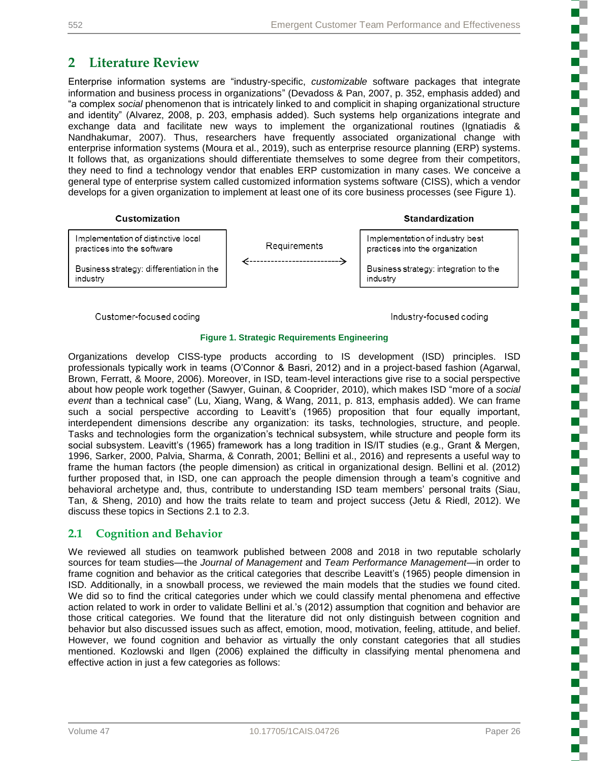## **2 Literature Review**

Enterprise information systems are "industry-specific, *customizable* software packages that integrate information and business process in organizations" (Devadoss & Pan, 2007, p. 352, emphasis added) and "a complex *social* phenomenon that is intricately linked to and complicit in shaping organizational structure and identity" (Alvarez, 2008, p. 203, emphasis added). Such systems help organizations integrate and exchange data and facilitate new ways to implement the organizational routines (Ignatiadis & Nandhakumar, 2007). Thus, researchers have frequently associated organizational change with enterprise information systems (Moura et al., 2019), such as enterprise resource planning (ERP) systems. It follows that, as organizations should differentiate themselves to some degree from their competitors, they need to find a technology vendor that enables ERP customization in many cases. We conceive a general type of enterprise system called customized information systems software (CISS), which a vendor develops for a given organization to implement at least one of its core business processes (see Figure 1).



**Standardization** 



Customer-focused coding

Industry-focused coding

#### **Figure 1. Strategic Requirements Engineering**

Organizations develop CISS-type products according to IS development (ISD) principles. ISD professionals typically work in teams (O'Connor & Basri, 2012) and in a project-based fashion (Agarwal, Brown, Ferratt, & Moore, 2006). Moreover, in ISD, team-level interactions give rise to a social perspective about how people work together (Sawyer, Guinan, & Cooprider, 2010), which makes ISD "more of a *social event* than a technical case" (Lu, Xiang, Wang, & Wang, 2011, p. 813, emphasis added). We can frame such a social perspective according to Leavitt's (1965) proposition that four equally important, interdependent dimensions describe any organization: its tasks, technologies, structure, and people. Tasks and technologies form the organization's technical subsystem, while structure and people form its social subsystem. Leavitt's (1965) framework has a long tradition in IS/IT studies (e.g., Grant & Mergen, 1996, Sarker, 2000, Palvia, Sharma, & Conrath, 2001; Bellini et al., 2016) and represents a useful way to frame the human factors (the people dimension) as critical in organizational design. Bellini et al. (2012) further proposed that, in ISD, one can approach the people dimension through a team's cognitive and behavioral archetype and, thus, contribute to understanding ISD team members' personal traits (Siau, Tan, & Sheng, 2010) and how the traits relate to team and project success (Jetu & Riedl, 2012). We discuss these topics in Sections 2.1 to 2.3.

## **2.1 Cognition and Behavior**

We reviewed all studies on teamwork published between 2008 and 2018 in two reputable scholarly sources for team studies—the *Journal of Management* and *Team Performance Management*—in order to frame cognition and behavior as the critical categories that describe Leavitt's (1965) people dimension in ISD. Additionally, in a snowball process, we reviewed the main models that the studies we found cited. We did so to find the critical categories under which we could classify mental phenomena and effective action related to work in order to validate Bellini et al.'s (2012) assumption that cognition and behavior are those critical categories. We found that the literature did not only distinguish between cognition and behavior but also discussed issues such as affect, emotion, mood, motivation, feeling, attitude, and belief. However, we found cognition and behavior as virtually the only constant categories that all studies mentioned. Kozlowski and Ilgen (2006) explained the difficulty in classifying mental phenomena and effective action in just a few categories as follows: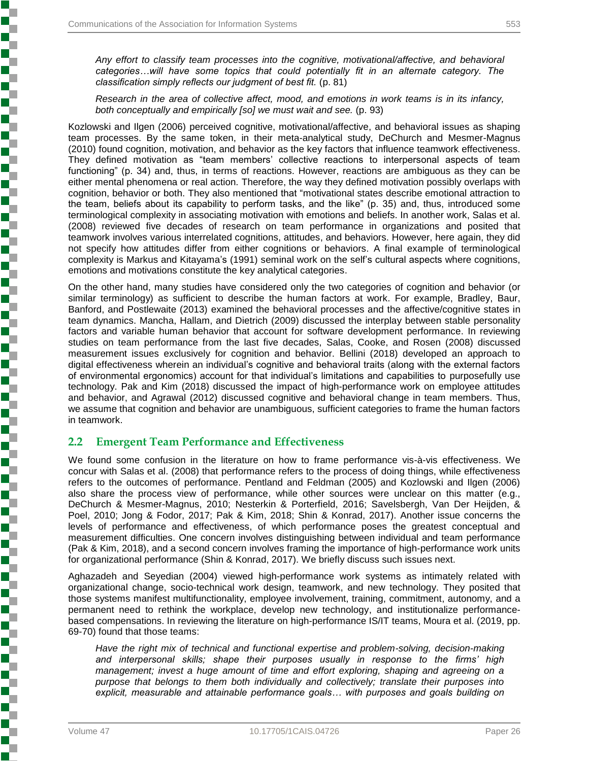Š

かんかん かんかんかん かんかん かんかん かんかん かんかんかん かんかんかん かんかんかん

*Any effort to classify team processes into the cognitive, motivational/affective, and behavioral categories…will have some topics that could potentially fit in an alternate category. The classification simply reflects our judgment of best fit.* (p. 81)

*Research in the area of collective affect, mood, and emotions in work teams is in its infancy, both conceptually and empirically [so] we must wait and see.* (p. 93)

Kozlowski and Ilgen (2006) perceived cognitive, motivational/affective, and behavioral issues as shaping team processes. By the same token, in their meta-analytical study, DeChurch and Mesmer-Magnus (2010) found cognition, motivation, and behavior as the key factors that influence teamwork effectiveness. They defined motivation as "team members' collective reactions to interpersonal aspects of team functioning" (p. 34) and, thus, in terms of reactions. However, reactions are ambiguous as they can be either mental phenomena or real action. Therefore, the way they defined motivation possibly overlaps with cognition, behavior or both. They also mentioned that "motivational states describe emotional attraction to the team, beliefs about its capability to perform tasks, and the like" (p. 35) and, thus, introduced some terminological complexity in associating motivation with emotions and beliefs. In another work, Salas et al. (2008) reviewed five decades of research on team performance in organizations and posited that teamwork involves various interrelated cognitions, attitudes, and behaviors. However, here again, they did not specify how attitudes differ from either cognitions or behaviors. A final example of terminological complexity is Markus and Kitayama's (1991) seminal work on the self's cultural aspects where cognitions, emotions and motivations constitute the key analytical categories.

On the other hand, many studies have considered only the two categories of cognition and behavior (or similar terminology) as sufficient to describe the human factors at work. For example, Bradley, Baur, Banford, and Postlewaite (2013) examined the behavioral processes and the affective/cognitive states in team dynamics. Mancha, Hallam, and Dietrich (2009) discussed the interplay between stable personality factors and variable human behavior that account for software development performance. In reviewing studies on team performance from the last five decades, Salas, Cooke, and Rosen (2008) discussed measurement issues exclusively for cognition and behavior. Bellini (2018) developed an approach to digital effectiveness wherein an individual's cognitive and behavioral traits (along with the external factors of environmental ergonomics) account for that individual's limitations and capabilities to purposefully use technology. Pak and Kim (2018) discussed the impact of high-performance work on employee attitudes and behavior, and Agrawal (2012) discussed cognitive and behavioral change in team members. Thus, we assume that cognition and behavior are unambiguous, sufficient categories to frame the human factors in teamwork.

### **2.2 Emergent Team Performance and Effectiveness**

We found some confusion in the literature on how to frame performance vis-à-vis effectiveness. We concur with Salas et al. (2008) that performance refers to the process of doing things, while effectiveness refers to the outcomes of performance. Pentland and Feldman (2005) and Kozlowski and Ilgen (2006) also share the process view of performance, while other sources were unclear on this matter (e.g., DeChurch & Mesmer-Magnus, 2010; Nesterkin & Porterfield, 2016; Savelsbergh, Van Der Heijden, & Poel, 2010; Jong & Fodor, 2017; Pak & Kim, 2018; Shin & Konrad, 2017). Another issue concerns the levels of performance and effectiveness, of which performance poses the greatest conceptual and measurement difficulties. One concern involves distinguishing between individual and team performance (Pak & Kim, 2018), and a second concern involves framing the importance of high-performance work units for organizational performance (Shin & Konrad, 2017). We briefly discuss such issues next.

Aghazadeh and Seyedian (2004) viewed high-performance work systems as intimately related with organizational change, socio-technical work design, teamwork, and new technology. They posited that those systems manifest multifunctionality, employee involvement, training, commitment, autonomy, and a permanent need to rethink the workplace, develop new technology, and institutionalize performancebased compensations. In reviewing the literature on high-performance IS/IT teams, Moura et al. (2019, pp. 69-70) found that those teams:

*Have the right mix of technical and functional expertise and problem-solving, decision-making and interpersonal skills; shape their purposes usually in response to the firms' high management; invest a huge amount of time and effort exploring, shaping and agreeing on a purpose that belongs to them both individually and collectively; translate their purposes into explicit, measurable and attainable performance goals… with purposes and goals building on*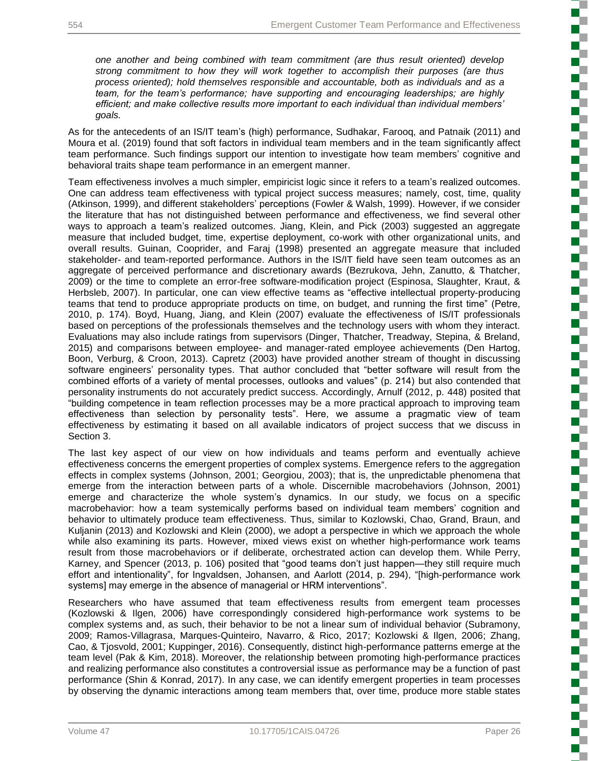*one another and being combined with team commitment (are thus result oriented) develop strong commitment to how they will work together to accomplish their purposes (are thus process oriented); hold themselves responsible and accountable, both as individuals and as a team, for the team's performance; have supporting and encouraging leaderships; are highly efficient; and make collective results more important to each individual than individual members' goals.*

As for the antecedents of an IS/IT team's (high) performance, Sudhakar, Farooq, and Patnaik (2011) and Moura et al. (2019) found that soft factors in individual team members and in the team significantly affect team performance. Such findings support our intention to investigate how team members' cognitive and behavioral traits shape team performance in an emergent manner.

Team effectiveness involves a much simpler, empiricist logic since it refers to a team's realized outcomes. One can address team effectiveness with typical project success measures; namely, cost, time, quality (Atkinson, 1999), and different stakeholders' perceptions (Fowler & Walsh, 1999). However, if we consider the literature that has not distinguished between performance and effectiveness, we find several other ways to approach a team's realized outcomes. Jiang, Klein, and Pick (2003) suggested an aggregate measure that included budget, time, expertise deployment, co-work with other organizational units, and overall results. Guinan, Cooprider, and Faraj (1998) presented an aggregate measure that included stakeholder- and team-reported performance. Authors in the IS/IT field have seen team outcomes as an aggregate of perceived performance and discretionary awards (Bezrukova, Jehn, Zanutto, & Thatcher, 2009) or the time to complete an error-free software-modification project (Espinosa, Slaughter, Kraut, & Herbsleb, 2007). In particular, one can view effective teams as "effective intellectual property-producing teams that tend to produce appropriate products on time, on budget, and running the first time" (Petre, 2010, p. 174). Boyd, Huang, Jiang, and Klein (2007) evaluate the effectiveness of IS/IT professionals based on perceptions of the professionals themselves and the technology users with whom they interact. Evaluations may also include ratings from supervisors (Dinger, Thatcher, Treadway, Stepina, & Breland, 2015) and comparisons between employee- and manager-rated employee achievements (Den Hartog, Boon, Verburg, & Croon, 2013). Capretz (2003) have provided another stream of thought in discussing software engineers' personality types. That author concluded that "better software will result from the combined efforts of a variety of mental processes, outlooks and values" (p. 214) but also contended that personality instruments do not accurately predict success. Accordingly, Arnulf (2012, p. 448) posited that "building competence in team reflection processes may be a more practical approach to improving team effectiveness than selection by personality tests". Here, we assume a pragmatic view of team effectiveness by estimating it based on all available indicators of project success that we discuss in Section 3.

The last key aspect of our view on how individuals and teams perform and eventually achieve effectiveness concerns the emergent properties of complex systems. Emergence refers to the aggregation effects in complex systems (Johnson, 2001; Georgiou, 2003); that is, the unpredictable phenomena that emerge from the interaction between parts of a whole. Discernible macrobehaviors (Johnson, 2001) emerge and characterize the whole system's dynamics. In our study, we focus on a specific macrobehavior: how a team systemically performs based on individual team members' cognition and behavior to ultimately produce team effectiveness. Thus, similar to Kozlowski, Chao, Grand, Braun, and Kuljanin (2013) and Kozlowski and Klein (2000), we adopt a perspective in which we approach the whole while also examining its parts. However, mixed views exist on whether high-performance work teams result from those macrobehaviors or if deliberate, orchestrated action can develop them. While Perry, Karney, and Spencer (2013, p. 106) posited that "good teams don't just happen—they still require much effort and intentionality", for Ingvaldsen, Johansen, and Aarlott (2014, p. 294), "[high-performance work systems] may emerge in the absence of managerial or HRM interventions".

Researchers who have assumed that team effectiveness results from emergent team processes (Kozlowski & Ilgen, 2006) have correspondingly considered high-performance work systems to be complex systems and, as such, their behavior to be not a linear sum of individual behavior (Subramony, 2009; Ramos-Villagrasa, Marques-Quinteiro, Navarro, & Rico, 2017; Kozlowski & Ilgen, 2006; Zhang, Cao, & Tjosvold, 2001; Kuppinger, 2016). Consequently, distinct high-performance patterns emerge at the team level (Pak & Kim, 2018). Moreover, the relationship between promoting high-performance practices and realizing performance also constitutes a controversial issue as performance may be a function of past performance (Shin & Konrad, 2017). In any case, we can identify emergent properties in team processes by observing the dynamic interactions among team members that, over time, produce more stable states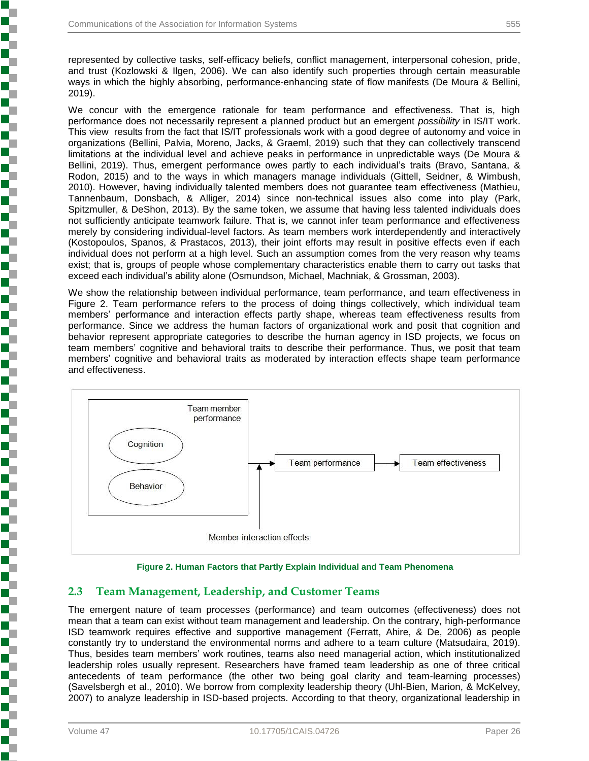represented by collective tasks, self-efficacy beliefs, conflict management, interpersonal cohesion, pride, and trust (Kozlowski & Ilgen, 2006). We can also identify such properties through certain measurable ways in which the highly absorbing, performance-enhancing state of flow manifests (De Moura & Bellini, 2019).

We concur with the emergence rationale for team performance and effectiveness. That is, high performance does not necessarily represent a planned product but an emergent *possibility* in IS/IT work. This view results from the fact that IS/IT professionals work with a good degree of autonomy and voice in organizations (Bellini, Palvia, Moreno, Jacks, & Graeml, 2019) such that they can collectively transcend limitations at the individual level and achieve peaks in performance in unpredictable ways (De Moura & Bellini, 2019). Thus, emergent performance owes partly to each individual's traits (Bravo, Santana, & Rodon, 2015) and to the ways in which managers manage individuals (Gittell, Seidner, & Wimbush, 2010). However, having individually talented members does not guarantee team effectiveness (Mathieu, Tannenbaum, Donsbach, & Alliger, 2014) since non-technical issues also come into play (Park, Spitzmuller, & DeShon, 2013). By the same token, we assume that having less talented individuals does not sufficiently anticipate teamwork failure. That is, we cannot infer team performance and effectiveness merely by considering individual-level factors. As team members work interdependently and interactively (Kostopoulos, Spanos, & Prastacos, 2013), their joint efforts may result in positive effects even if each individual does not perform at a high level. Such an assumption comes from the very reason why teams exist; that is, groups of people whose complementary characteristics enable them to carry out tasks that exceed each individual's ability alone (Osmundson, Michael, Machniak, & Grossman, 2003).

We show the relationship between individual performance, team performance, and team effectiveness in Figure 2. Team performance refers to the process of doing things collectively, which individual team members' performance and interaction effects partly shape, whereas team effectiveness results from performance. Since we address the human factors of organizational work and posit that cognition and behavior represent appropriate categories to describe the human agency in ISD projects, we focus on team members' cognitive and behavioral traits to describe their performance. Thus, we posit that team members' cognitive and behavioral traits as moderated by interaction effects shape team performance and effectiveness.





## **2.3 Team Management, Leadership, and Customer Teams**

The emergent nature of team processes (performance) and team outcomes (effectiveness) does not mean that a team can exist without team management and leadership. On the contrary, high-performance ISD teamwork requires effective and supportive management (Ferratt, Ahire, & De, 2006) as people constantly try to understand the environmental norms and adhere to a team culture (Matsudaira, 2019). Thus, besides team members' work routines, teams also need managerial action, which institutionalized leadership roles usually represent. Researchers have framed team leadership as one of three critical antecedents of team performance (the other two being goal clarity and team-learning processes) (Savelsbergh et al., 2010). We borrow from complexity leadership theory (Uhl-Bien, Marion, & McKelvey, 2007) to analyze leadership in ISD-based projects. According to that theory, organizational leadership in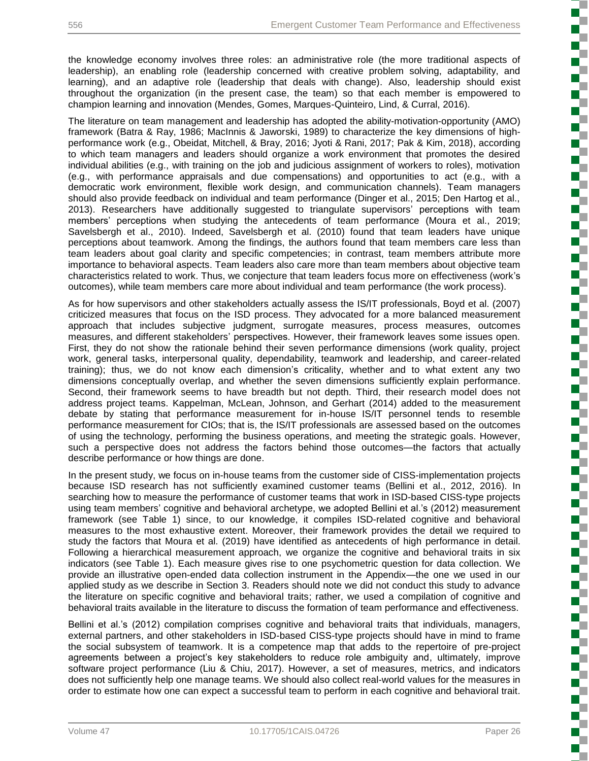the knowledge economy involves three roles: an administrative role (the more traditional aspects of leadership), an enabling role (leadership concerned with creative problem solving, adaptability, and learning), and an adaptive role (leadership that deals with change). Also, leadership should exist throughout the organization (in the present case, the team) so that each member is empowered to champion learning and innovation (Mendes, Gomes, Marques-Quinteiro, Lind, & Curral, 2016).

The literature on team management and leadership has adopted the ability-motivation-opportunity (AMO) framework (Batra & Ray, 1986; MacInnis & Jaworski, 1989) to characterize the key dimensions of highperformance work (e.g., Obeidat, Mitchell, & Bray, 2016; Jyoti & Rani, 2017; Pak & Kim, 2018), according to which team managers and leaders should organize a work environment that promotes the desired individual abilities (e.g., with training on the job and judicious assignment of workers to roles), motivation (e.g., with performance appraisals and due compensations) and opportunities to act (e.g., with a democratic work environment, flexible work design, and communication channels). Team managers should also provide feedback on individual and team performance (Dinger et al., 2015; Den Hartog et al., 2013). Researchers have additionally suggested to triangulate supervisors' perceptions with team members' perceptions when studying the antecedents of team performance (Moura et al., 2019; Savelsbergh et al., 2010). Indeed, Savelsbergh et al. (2010) found that team leaders have unique perceptions about teamwork. Among the findings, the authors found that team members care less than team leaders about goal clarity and specific competencies; in contrast, team members attribute more importance to behavioral aspects. Team leaders also care more than team members about objective team characteristics related to work. Thus, we conjecture that team leaders focus more on effectiveness (work's outcomes), while team members care more about individual and team performance (the work process).

As for how supervisors and other stakeholders actually assess the IS/IT professionals, Boyd et al. (2007) criticized measures that focus on the ISD process. They advocated for a more balanced measurement approach that includes subjective judgment, surrogate measures, process measures, outcomes measures, and different stakeholders' perspectives. However, their framework leaves some issues open. First, they do not show the rationale behind their seven performance dimensions (work quality, project work, general tasks, interpersonal quality, dependability, teamwork and leadership, and career-related training); thus, we do not know each dimension's criticality, whether and to what extent any two dimensions conceptually overlap, and whether the seven dimensions sufficiently explain performance. Second, their framework seems to have breadth but not depth. Third, their research model does not address project teams. Kappelman, McLean, Johnson, and Gerhart (2014) added to the measurement debate by stating that performance measurement for in-house IS/IT personnel tends to resemble performance measurement for CIOs; that is, the IS/IT professionals are assessed based on the outcomes of using the technology, performing the business operations, and meeting the strategic goals. However, such a perspective does not address the factors behind those outcomes—the factors that actually describe performance or how things are done.

In the present study, we focus on in-house teams from the customer side of CISS-implementation projects because ISD research has not sufficiently examined customer teams (Bellini et al., 2012, 2016). In searching how to measure the performance of customer teams that work in ISD-based CISS-type projects using team members' cognitive and behavioral archetype, we adopted Bellini et al.'s (2012) measurement framework (see Table 1) since, to our knowledge, it compiles ISD-related cognitive and behavioral measures to the most exhaustive extent. Moreover, their framework provides the detail we required to study the factors that Moura et al. (2019) have identified as antecedents of high performance in detail. Following a hierarchical measurement approach, we organize the cognitive and behavioral traits in six indicators (see Table 1). Each measure gives rise to one psychometric question for data collection. We provide an illustrative open-ended data collection instrument in the Appendix—the one we used in our applied study as we describe in Section 3. Readers should note we did not conduct this study to advance the literature on specific cognitive and behavioral traits; rather, we used a compilation of cognitive and behavioral traits available in the literature to discuss the formation of team performance and effectiveness.

Bellini et al.'s (2012) compilation comprises cognitive and behavioral traits that individuals, managers, external partners, and other stakeholders in ISD-based CISS-type projects should have in mind to frame the social subsystem of teamwork. It is a competence map that adds to the repertoire of pre-project agreements between a project's key stakeholders to reduce role ambiguity and, ultimately, improve software project performance (Liu & Chiu, 2017). However, a set of measures, metrics, and indicators does not sufficiently help one manage teams. We should also collect real-world values for the measures in order to estimate how one can expect a successful team to perform in each cognitive and behavioral trait.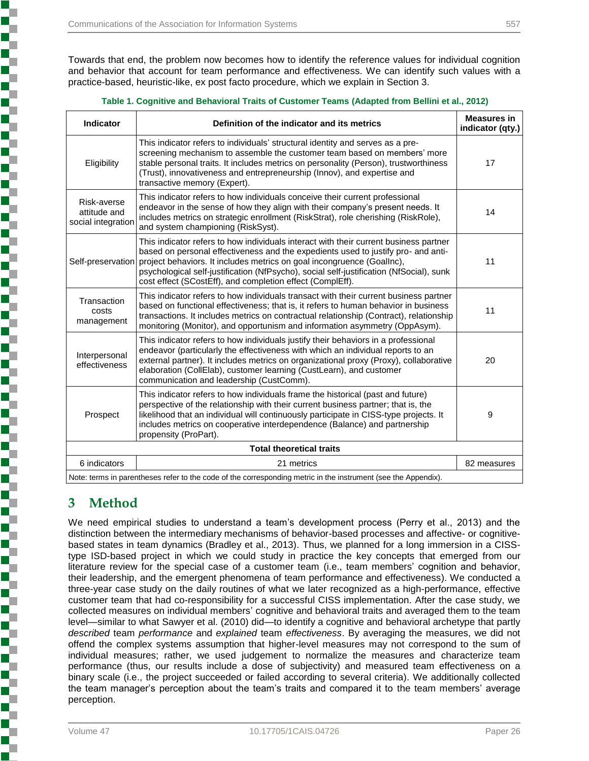Towards that end, the problem now becomes how to identify the reference values for individual cognition and behavior that account for team performance and effectiveness. We can identify such values with a practice-based, heuristic-like, ex post facto procedure, which we explain in Section 3.

| <b>Indicator</b>                                  | Definition of the indicator and its metrics                                                                                                                                                                                                                                                                                                                                                                  | <b>Measures in</b><br>indicator (qty.) |
|---------------------------------------------------|--------------------------------------------------------------------------------------------------------------------------------------------------------------------------------------------------------------------------------------------------------------------------------------------------------------------------------------------------------------------------------------------------------------|----------------------------------------|
| Eligibility                                       | This indicator refers to individuals' structural identity and serves as a pre-<br>screening mechanism to assemble the customer team based on members' more<br>stable personal traits. It includes metrics on personality (Person), trustworthiness<br>(Trust), innovativeness and entrepreneurship (Innov), and expertise and<br>transactive memory (Expert).                                                | 17                                     |
| Risk-averse<br>attitude and<br>social integration | This indicator refers to how individuals conceive their current professional<br>endeavor in the sense of how they align with their company's present needs. It<br>includes metrics on strategic enrollment (RiskStrat), role cherishing (RiskRole),<br>and system championing (RiskSyst).                                                                                                                    | 14                                     |
| Self-preservation                                 | This indicator refers to how individuals interact with their current business partner<br>based on personal effectiveness and the expedients used to justify pro- and anti-<br>project behaviors. It includes metrics on goal incongruence (GoalInc),<br>psychological self-justification (NfPsycho), social self-justification (NfSocial), sunk<br>cost effect (SCostEff), and completion effect (ComplEff). | 11                                     |
| Transaction<br>costs<br>management                | This indicator refers to how individuals transact with their current business partner<br>based on functional effectiveness; that is, it refers to human behavior in business<br>transactions. It includes metrics on contractual relationship (Contract), relationship<br>monitoring (Monitor), and opportunism and information asymmetry (OppAsym).                                                         | 11                                     |
| Interpersonal<br>effectiveness                    | This indicator refers to how individuals justify their behaviors in a professional<br>endeavor (particularly the effectiveness with which an individual reports to an<br>external partner). It includes metrics on organizational proxy (Proxy), collaborative<br>elaboration (CollElab), customer learning (CustLearn), and customer<br>communication and leadership (CustComm).                            | 20                                     |
| Prospect                                          | This indicator refers to how individuals frame the historical (past and future)<br>perspective of the relationship with their current business partner; that is, the<br>likelihood that an individual will continuously participate in CISS-type projects. It<br>includes metrics on cooperative interdependence (Balance) and partnership<br>propensity (ProPart).                                          | 9                                      |
|                                                   | <b>Total theoretical traits</b>                                                                                                                                                                                                                                                                                                                                                                              |                                        |
| 6 indicators                                      | 21 metrics                                                                                                                                                                                                                                                                                                                                                                                                   | 82 measures                            |
|                                                   | Note: terms in parentheses refer to the code of the corresponding metric in the instrument (see the Appendix).                                                                                                                                                                                                                                                                                               |                                        |

| Table 1. Cognitive and Behavioral Traits of Customer Teams (Adapted from Bellini et al., 2012) |  |  |
|------------------------------------------------------------------------------------------------|--|--|

## **3 Method**

Ŧ

٩

We need empirical studies to understand a team's development process (Perry et al., 2013) and the distinction between the intermediary mechanisms of behavior-based processes and affective- or cognitivebased states in team dynamics (Bradley et al., 2013). Thus, we planned for a long immersion in a CISStype ISD-based project in which we could study in practice the key concepts that emerged from our literature review for the special case of a customer team (i.e., team members' cognition and behavior, their leadership, and the emergent phenomena of team performance and effectiveness). We conducted a three-year case study on the daily routines of what we later recognized as a high-performance, effective customer team that had co-responsibility for a successful CISS implementation. After the case study, we collected measures on individual members' cognitive and behavioral traits and averaged them to the team level—similar to what Sawyer et al. (2010) did—to identify a cognitive and behavioral archetype that partly *described* team *performance* and *explained* team *effectiveness*. By averaging the measures, we did not offend the complex systems assumption that higher-level measures may not correspond to the sum of individual measures; rather, we used judgement to normalize the measures and characterize team performance (thus, our results include a dose of subjectivity) and measured team effectiveness on a binary scale (i.e., the project succeeded or failed according to several criteria). We additionally collected the team manager's perception about the team's traits and compared it to the team members' average perception.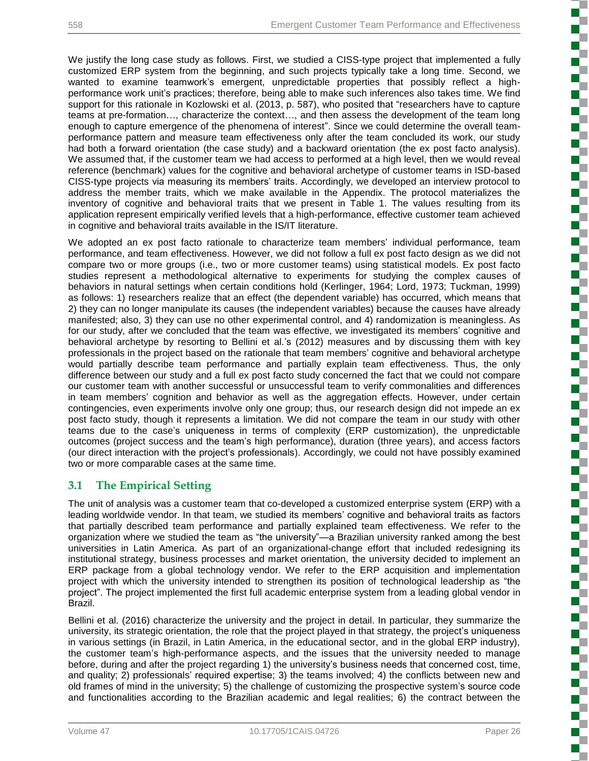We justify the long case study as follows. First, we studied a CISS-type project that implemented a fully customized ERP system from the beginning, and such projects typically take a long time. Second, we wanted to examine teamwork's emergent, unpredictable properties that possibly reflect a highperformance work unit's practices; therefore, being able to make such inferences also takes time. We find support for this rationale in Kozlowski et al. (2013, p. 587), who posited that "researchers have to capture teams at pre-formation…, characterize the context…, and then assess the development of the team long enough to capture emergence of the phenomena of interest". Since we could determine the overall teamperformance pattern and measure team effectiveness only after the team concluded its work, our study had both a forward orientation (the case study) and a backward orientation (the ex post facto analysis). We assumed that, if the customer team we had access to performed at a high level, then we would reveal reference (benchmark) values for the cognitive and behavioral archetype of customer teams in ISD-based CISS-type projects via measuring its members' traits. Accordingly, we developed an interview protocol to address the member traits, which we make available in the Appendix. The protocol materializes the inventory of cognitive and behavioral traits that we present in Table 1. The values resulting from its application represent empirically verified levels that a high-performance, effective customer team achieved in cognitive and behavioral traits available in the IS/IT literature.

We adopted an ex post facto rationale to characterize team members' individual performance, team performance, and team effectiveness. However, we did not follow a full ex post facto design as we did not compare two or more groups (i.e., two or more customer teams) using statistical models. Ex post facto studies represent a methodological alternative to experiments for studying the complex causes of behaviors in natural settings when certain conditions hold (Kerlinger, 1964; Lord, 1973; Tuckman, 1999) as follows: 1) researchers realize that an effect (the dependent variable) has occurred, which means that 2) they can no longer manipulate its causes (the independent variables) because the causes have already manifested; also, 3) they can use no other experimental control, and 4) randomization is meaningless. As for our study, after we concluded that the team was effective, we investigated its members' cognitive and behavioral archetype by resorting to Bellini et al.'s (2012) measures and by discussing them with key professionals in the project based on the rationale that team members' cognitive and behavioral archetype would partially describe team performance and partially explain team effectiveness. Thus, the only difference between our study and a full ex post facto study concerned the fact that we could not compare our customer team with another successful or unsuccessful team to verify commonalities and differences in team members' cognition and behavior as well as the aggregation effects. However, under certain contingencies, even experiments involve only one group; thus, our research design did not impede an ex post facto study, though it represents a limitation. We did not compare the team in our study with other teams due to the case's uniqueness in terms of complexity (ERP customization), the unpredictable outcomes (project success and the team's high performance), duration (three years), and access factors (our direct interaction with the project's professionals). Accordingly, we could not have possibly examined two or more comparable cases at the same time.

## **3.1 The Empirical Setting**

The unit of analysis was a customer team that co-developed a customized enterprise system (ERP) with a leading worldwide vendor. In that team, we studied its members' cognitive and behavioral traits as factors that partially described team performance and partially explained team effectiveness. We refer to the organization where we studied the team as "the university"—a Brazilian university ranked among the best universities in Latin America. As part of an organizational-change effort that included redesigning its institutional strategy, business processes and market orientation, the university decided to implement an ERP package from a global technology vendor. We refer to the ERP acquisition and implementation project with which the university intended to strengthen its position of technological leadership as "the project". The project implemented the first full academic enterprise system from a leading global vendor in Brazil.

Bellini et al. (2016) characterize the university and the project in detail. In particular, they summarize the university, its strategic orientation, the role that the project played in that strategy, the project's uniqueness in various settings (in Brazil, in Latin America, in the educational sector, and in the global ERP industry), the customer team's high-performance aspects, and the issues that the university needed to manage before, during and after the project regarding 1) the university's business needs that concerned cost, time, and quality; 2) professionals' required expertise; 3) the teams involved; 4) the conflicts between new and old frames of mind in the university; 5) the challenge of customizing the prospective system's source code and functionalities according to the Brazilian academic and legal realities; 6) the contract between the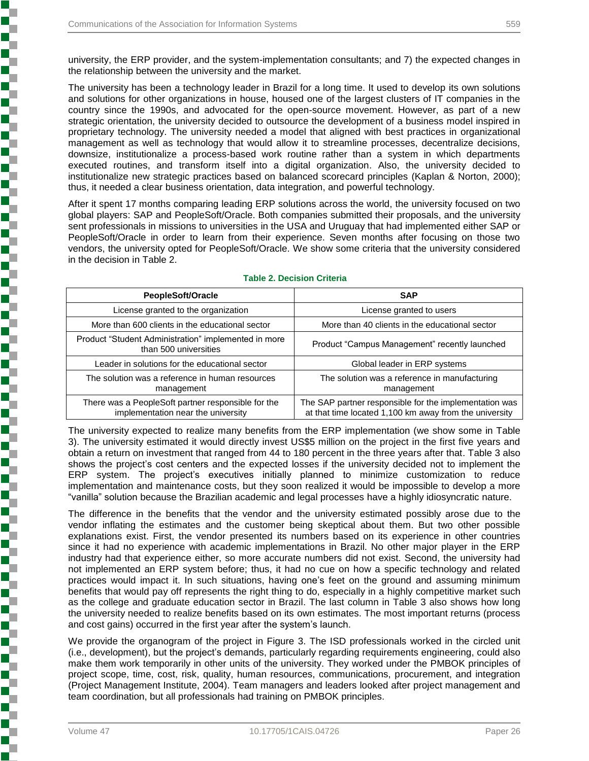university, the ERP provider, and the system-implementation consultants; and 7) the expected changes in the relationship between the university and the market.

The university has been a technology leader in Brazil for a long time. It used to develop its own solutions and solutions for other organizations in house, housed one of the largest clusters of IT companies in the country since the 1990s, and advocated for the open-source movement. However, as part of a new strategic orientation, the university decided to outsource the development of a business model inspired in proprietary technology. The university needed a model that aligned with best practices in organizational management as well as technology that would allow it to streamline processes, decentralize decisions, downsize, institutionalize a process-based work routine rather than a system in which departments executed routines, and transform itself into a digital organization. Also, the university decided to institutionalize new strategic practices based on balanced scorecard principles (Kaplan & Norton, 2000); thus, it needed a clear business orientation, data integration, and powerful technology.

After it spent 17 months comparing leading ERP solutions across the world, the university focused on two global players: SAP and PeopleSoft/Oracle. Both companies submitted their proposals, and the university sent professionals in missions to universities in the USA and Uruguay that had implemented either SAP or PeopleSoft/Oracle in order to learn from their experience. Seven months after focusing on those two vendors, the university opted for PeopleSoft/Oracle. We show some criteria that the university considered in the decision in Table 2.

| PeopleSoft/Oracle                                                                        | <b>SAP</b>                                                                                                       |
|------------------------------------------------------------------------------------------|------------------------------------------------------------------------------------------------------------------|
| License granted to the organization                                                      | License granted to users                                                                                         |
| More than 600 clients in the educational sector                                          | More than 40 clients in the educational sector                                                                   |
| Product "Student Administration" implemented in more<br>than 500 universities            | Product "Campus Management" recently launched                                                                    |
| Leader in solutions for the educational sector                                           | Global leader in ERP systems                                                                                     |
| The solution was a reference in human resources<br>management                            | The solution was a reference in manufacturing<br>management                                                      |
| There was a PeopleSoft partner responsible for the<br>implementation near the university | The SAP partner responsible for the implementation was<br>at that time located 1,100 km away from the university |

#### **Table 2. Decision Criteria**

The university expected to realize many benefits from the ERP implementation (we show some in Table 3). The university estimated it would directly invest US\$5 million on the project in the first five years and obtain a return on investment that ranged from 44 to 180 percent in the three years after that. Table 3 also shows the project's cost centers and the expected losses if the university decided not to implement the ERP system. The project's executives initially planned to minimize customization to reduce implementation and maintenance costs, but they soon realized it would be impossible to develop a more "vanilla" solution because the Brazilian academic and legal processes have a highly idiosyncratic nature.

The difference in the benefits that the vendor and the university estimated possibly arose due to the vendor inflating the estimates and the customer being skeptical about them. But two other possible explanations exist. First, the vendor presented its numbers based on its experience in other countries since it had no experience with academic implementations in Brazil. No other major player in the ERP industry had that experience either, so more accurate numbers did not exist. Second, the university had not implemented an ERP system before; thus, it had no cue on how a specific technology and related practices would impact it. In such situations, having one's feet on the ground and assuming minimum benefits that would pay off represents the right thing to do, especially in a highly competitive market such as the college and graduate education sector in Brazil. The last column in Table 3 also shows how long the university needed to realize benefits based on its own estimates. The most important returns (process and cost gains) occurred in the first year after the system's launch.

We provide the organogram of the project in Figure 3. The ISD professionals worked in the circled unit (i.e., development), but the project's demands, particularly regarding requirements engineering, could also make them work temporarily in other units of the university. They worked under the PMBOK principles of project scope, time, cost, risk, quality, human resources, communications, procurement, and integration (Project Management Institute, 2004). Team managers and leaders looked after project management and team coordination, but all professionals had training on PMBOK principles.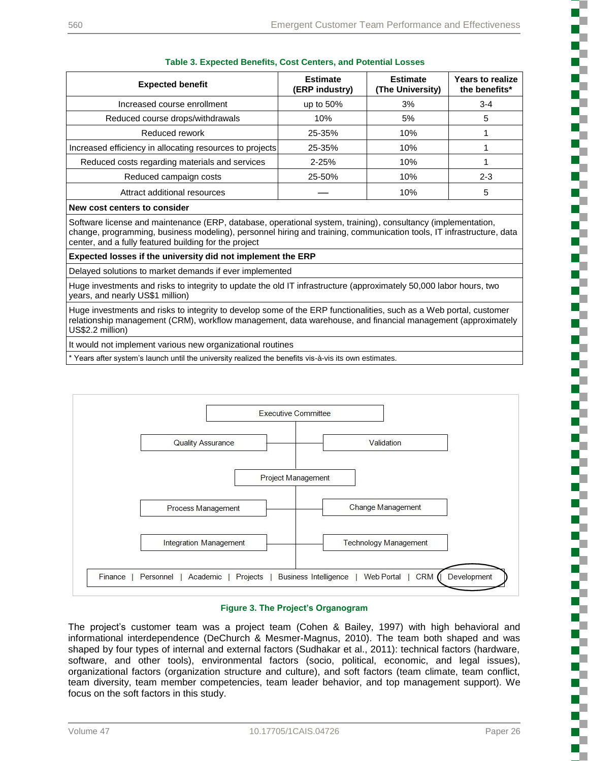ð

J. ٦

Į

P

h

i

ì

L

.<br>.<br>.

| <b>Expected benefit</b>                                                                                                                                                                                                                                                                       | <b>Estimate</b><br>(ERP industry) | <b>Estimate</b><br>(The University) | <b>Years to realize</b><br>the benefits* |
|-----------------------------------------------------------------------------------------------------------------------------------------------------------------------------------------------------------------------------------------------------------------------------------------------|-----------------------------------|-------------------------------------|------------------------------------------|
| Increased course enrollment                                                                                                                                                                                                                                                                   | up to $50\%$                      | 3%                                  | $3 - 4$                                  |
| Reduced course drops/withdrawals                                                                                                                                                                                                                                                              | 10%                               | 5%                                  | 5                                        |
| Reduced rework                                                                                                                                                                                                                                                                                | 25-35%                            | 10%                                 |                                          |
| Increased efficiency in allocating resources to projects                                                                                                                                                                                                                                      | 25-35%                            | 10%                                 |                                          |
| Reduced costs regarding materials and services                                                                                                                                                                                                                                                | $2 - 25%$                         | 10%                                 |                                          |
| Reduced campaign costs                                                                                                                                                                                                                                                                        | 25-50%                            | 10%                                 | $2 - 3$                                  |
| Attract additional resources                                                                                                                                                                                                                                                                  |                                   | 10%                                 | 5                                        |
| New cost centers to consider                                                                                                                                                                                                                                                                  |                                   |                                     |                                          |
| Software license and maintenance (ERP, database, operational system, training), consultancy (implementation,<br>change, programming, business modeling), personnel hiring and training, communication tools, IT infrastructure, data<br>center, and a fully featured building for the project |                                   |                                     |                                          |

#### **Table 3. Expected Benefits, Cost Centers, and Potential Losses**

#### **Expected losses if the university did not implement the ERP**

Delayed solutions to market demands if ever implemented

Huge investments and risks to integrity to update the old IT infrastructure (approximately 50,000 labor hours, two years, and nearly US\$1 million)

Huge investments and risks to integrity to develop some of the ERP functionalities, such as a Web portal, customer relationship management (CRM), workflow management, data warehouse, and financial management (approximately US\$2.2 million)

It would not implement various new organizational routines

\* Years after system's launch until the university realized the benefits vis-à-vis its own estimates.



#### **Figure 3. The Project's Organogram**

The project's customer team was a project team (Cohen & Bailey, 1997) with high behavioral and informational interdependence (DeChurch & Mesmer-Magnus, 2010). The team both shaped and was shaped by four types of internal and external factors (Sudhakar et al., 2011): technical factors (hardware, software, and other tools), environmental factors (socio, political, economic, and legal issues), organizational factors (organization structure and culture), and soft factors (team climate, team conflict, team diversity, team member competencies, team leader behavior, and top management support). We focus on the soft factors in this study.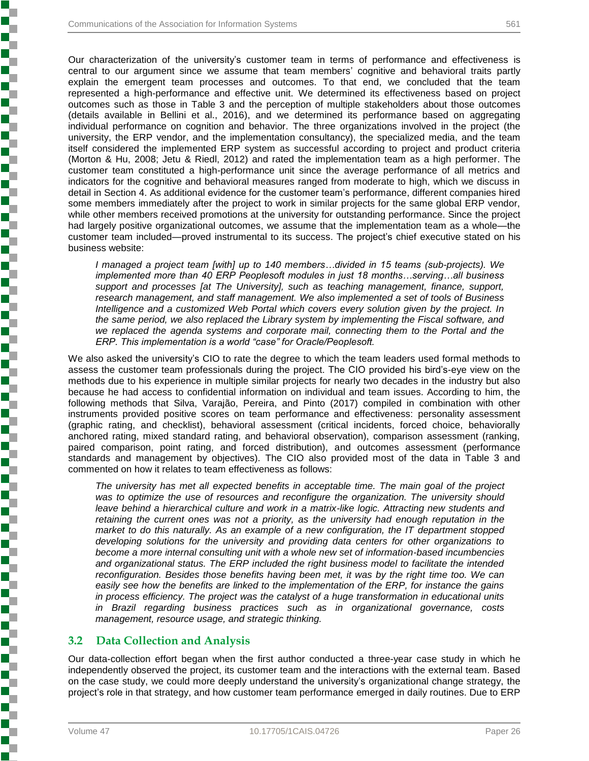Our characterization of the university's customer team in terms of performance and effectiveness is central to our argument since we assume that team members' cognitive and behavioral traits partly explain the emergent team processes and outcomes. To that end, we concluded that the team represented a high-performance and effective unit. We determined its effectiveness based on project outcomes such as those in Table 3 and the perception of multiple stakeholders about those outcomes (details available in Bellini et al., 2016), and we determined its performance based on aggregating individual performance on cognition and behavior. The three organizations involved in the project (the university, the ERP vendor, and the implementation consultancy), the specialized media, and the team itself considered the implemented ERP system as successful according to project and product criteria (Morton & Hu, 2008; Jetu & Riedl, 2012) and rated the implementation team as a high performer. The customer team constituted a high-performance unit since the average performance of all metrics and indicators for the cognitive and behavioral measures ranged from moderate to high, which we discuss in detail in Section 4. As additional evidence for the customer team's performance, different companies hired some members immediately after the project to work in similar projects for the same global ERP vendor, while other members received promotions at the university for outstanding performance. Since the project had largely positive organizational outcomes, we assume that the implementation team as a whole—the customer team included—proved instrumental to its success. The project's chief executive stated on his business website:

*I managed a project team [with] up to 140 members…divided in 15 teams (sub-projects). We implemented more than 40 ERP Peoplesoft modules in just 18 months…serving…all business support and processes [at The University], such as teaching management, finance, support, research management, and staff management. We also implemented a set of tools of Business Intelligence and a customized Web Portal which covers every solution given by the project. In the same period, we also replaced the Library system by implementing the Fiscal software, and we replaced the agenda systems and corporate mail, connecting them to the Portal and the ERP. This implementation is a world "case" for Oracle/Peoplesoft.*

We also asked the university's CIO to rate the degree to which the team leaders used formal methods to assess the customer team professionals during the project. The CIO provided his bird's-eye view on the methods due to his experience in multiple similar projects for nearly two decades in the industry but also because he had access to confidential information on individual and team issues. According to him, the following methods that Silva, Varajão, Pereira, and Pinto (2017) compiled in combination with other instruments provided positive scores on team performance and effectiveness: personality assessment (graphic rating, and checklist), behavioral assessment (critical incidents, forced choice, behaviorally anchored rating, mixed standard rating, and behavioral observation), comparison assessment (ranking, paired comparison, point rating, and forced distribution), and outcomes assessment (performance standards and management by objectives). The CIO also provided most of the data in Table 3 and commented on how it relates to team effectiveness as follows:

*The university has met all expected benefits in acceptable time. The main goal of the project was to optimize the use of resources and reconfigure the organization. The university should*  leave behind a hierarchical culture and work in a matrix-like logic. Attracting new students and *retaining the current ones was not a priority, as the university had enough reputation in the market to do this naturally. As an example of a new configuration, the IT department stopped developing solutions for the university and providing data centers for other organizations to become a more internal consulting unit with a whole new set of information-based incumbencies and organizational status. The ERP included the right business model to facilitate the intended reconfiguration. Besides those benefits having been met, it was by the right time too. We can easily see how the benefits are linked to the implementation of the ERP, for instance the gains in process efficiency. The project was the catalyst of a huge transformation in educational units in Brazil regarding business practices such as in organizational governance, costs management, resource usage, and strategic thinking.*

## **3.2 Data Collection and Analysis**

Our data-collection effort began when the first author conducted a three-year case study in which he independently observed the project, its customer team and the interactions with the external team. Based on the case study, we could more deeply understand the university's organizational change strategy, the project's role in that strategy, and how customer team performance emerged in daily routines. Due to ERP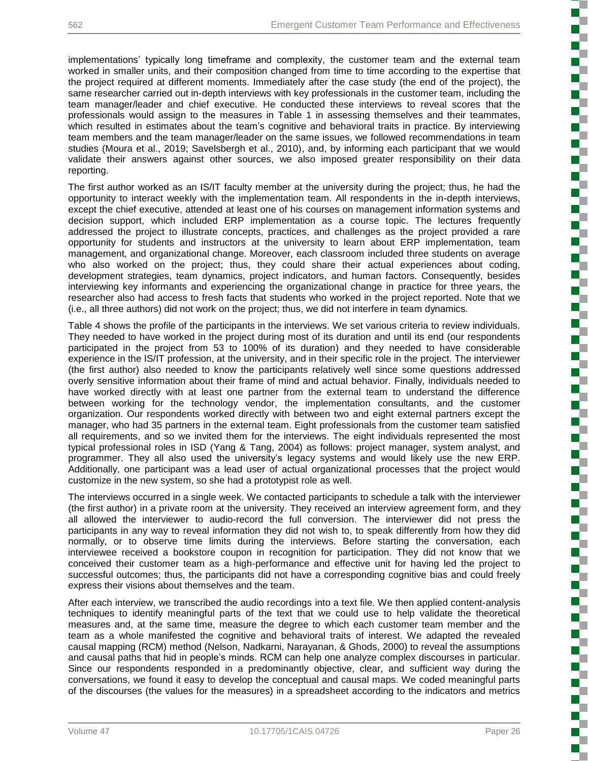implementations' typically long timeframe and complexity, the customer team and the external team worked in smaller units, and their composition changed from time to time according to the expertise that the project required at different moments. Immediately after the case study (the end of the project), the same researcher carried out in-depth interviews with key professionals in the customer team, including the team manager/leader and chief executive. He conducted these interviews to reveal scores that the professionals would assign to the measures in Table 1 in assessing themselves and their teammates, which resulted in estimates about the team's cognitive and behavioral traits in practice. By interviewing team members and the team manager/leader on the same issues, we followed recommendations in team studies (Moura et al., 2019; Savelsbergh et al., 2010), and, by informing each participant that we would validate their answers against other sources, we also imposed greater responsibility on their data reporting.

The first author worked as an IS/IT faculty member at the university during the project; thus, he had the opportunity to interact weekly with the implementation team. All respondents in the in-depth interviews, except the chief executive, attended at least one of his courses on management information systems and decision support, which included ERP implementation as a course topic. The lectures frequently addressed the project to illustrate concepts, practices, and challenges as the project provided a rare opportunity for students and instructors at the university to learn about ERP implementation, team management, and organizational change. Moreover, each classroom included three students on average who also worked on the project; thus, they could share their actual experiences about coding, development strategies, team dynamics, project indicators, and human factors. Consequently, besides interviewing key informants and experiencing the organizational change in practice for three years, the researcher also had access to fresh facts that students who worked in the project reported. Note that we (i.e., all three authors) did not work on the project; thus, we did not interfere in team dynamics.

Table 4 shows the profile of the participants in the interviews. We set various criteria to review individuals. They needed to have worked in the project during most of its duration and until its end (our respondents participated in the project from 53 to 100% of its duration) and they needed to have considerable experience in the IS/IT profession, at the university, and in their specific role in the project. The interviewer (the first author) also needed to know the participants relatively well since some questions addressed overly sensitive information about their frame of mind and actual behavior. Finally, individuals needed to have worked directly with at least one partner from the external team to understand the difference between working for the technology vendor, the implementation consultants, and the customer organization. Our respondents worked directly with between two and eight external partners except the manager, who had 35 partners in the external team. Eight professionals from the customer team satisfied all requirements, and so we invited them for the interviews. The eight individuals represented the most typical professional roles in ISD (Yang & Tang, 2004) as follows: project manager, system analyst, and programmer. They all also used the university's legacy systems and would likely use the new ERP. Additionally, one participant was a lead user of actual organizational processes that the project would customize in the new system, so she had a prototypist role as well.

The interviews occurred in a single week. We contacted participants to schedule a talk with the interviewer (the first author) in a private room at the university. They received an interview agreement form, and they all allowed the interviewer to audio-record the full conversion. The interviewer did not press the participants in any way to reveal information they did not wish to, to speak differently from how they did normally, or to observe time limits during the interviews. Before starting the conversation, each interviewee received a bookstore coupon in recognition for participation. They did not know that we conceived their customer team as a high-performance and effective unit for having led the project to successful outcomes; thus, the participants did not have a corresponding cognitive bias and could freely express their visions about themselves and the team.

After each interview, we transcribed the audio recordings into a text file. We then applied content-analysis techniques to identify meaningful parts of the text that we could use to help validate the theoretical measures and, at the same time, measure the degree to which each customer team member and the team as a whole manifested the cognitive and behavioral traits of interest. We adapted the revealed causal mapping (RCM) method (Nelson, Nadkarni, Narayanan, & Ghods, 2000) to reveal the assumptions and causal paths that hid in people's minds. RCM can help one analyze complex discourses in particular. Since our respondents responded in a predominantly objective, clear, and sufficient way during the conversations, we found it easy to develop the conceptual and causal maps. We coded meaningful parts of the discourses (the values for the measures) in a spreadsheet according to the indicators and metrics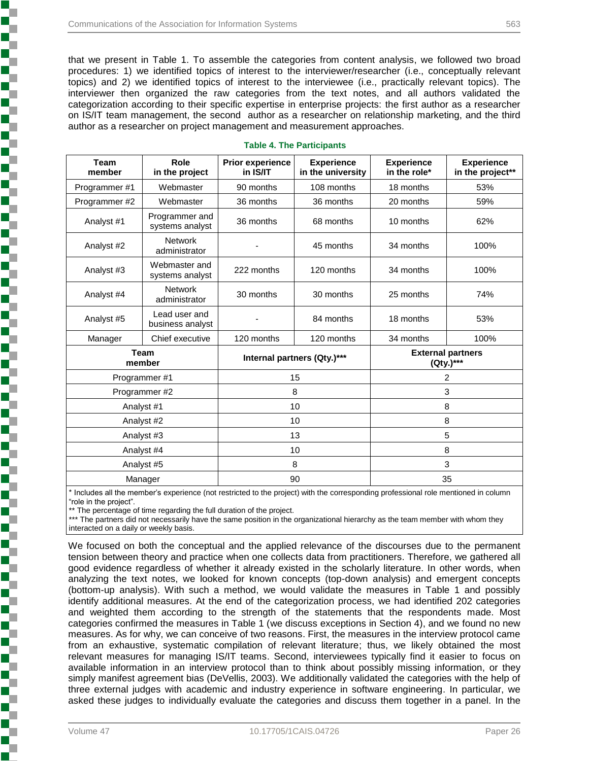that we present in Table 1. To assemble the categories from content analysis, we followed two broad procedures: 1) we identified topics of interest to the interviewer/researcher (i.e., conceptually relevant topics) and 2) we identified topics of interest to the interviewee (i.e., practically relevant topics). The interviewer then organized the raw categories from the text notes, and all authors validated the categorization according to their specific expertise in enterprise projects: the first author as a researcher on IS/IT team management, the second author as a researcher on relationship marketing, and the third author as a researcher on project management and measurement approaches.

| <b>Team</b><br>member | Role<br>in the project            | <b>Prior experience</b><br>in IS/IT | <b>Experience</b><br>in the university | <b>Experience</b><br>in the role*     | <b>Experience</b><br>in the project** |  |
|-----------------------|-----------------------------------|-------------------------------------|----------------------------------------|---------------------------------------|---------------------------------------|--|
| Programmer#1          | Webmaster                         | 90 months                           | 108 months                             | 18 months                             | 53%                                   |  |
| Programmer #2         | Webmaster                         | 36 months                           | 36 months                              | 20 months                             | 59%                                   |  |
| Analyst #1            | Programmer and<br>systems analyst | 36 months                           | 68 months                              | 10 months                             | 62%                                   |  |
| Analyst #2            | <b>Network</b><br>administrator   |                                     | 45 months                              | 34 months                             | 100%                                  |  |
| Analyst #3            | Webmaster and<br>systems analyst  | 222 months                          | 120 months<br>34 months                |                                       | 100%                                  |  |
| Analyst #4            | <b>Network</b><br>administrator   | 30 months                           | 30 months                              | 25 months                             | 74%                                   |  |
| Analyst #5            | Lead user and<br>business analyst |                                     | 84 months                              | 18 months                             | 53%                                   |  |
| Manager               | Chief executive                   | 120 months                          | 120 months                             | 34 months                             | 100%                                  |  |
|                       | <b>Team</b><br>member             | Internal partners (Qty.)***         |                                        | <b>External partners</b><br>(Qty.)*** |                                       |  |
|                       | Programmer#1                      |                                     | 15                                     |                                       | $\overline{c}$                        |  |
|                       | Programmer #2                     |                                     | 8                                      |                                       | 3                                     |  |
|                       | Analyst #1                        |                                     | 10                                     |                                       | 8                                     |  |
| Analyst #2            |                                   |                                     | 10                                     | 8                                     |                                       |  |
|                       | Analyst #3                        |                                     | 13                                     | 5                                     |                                       |  |
|                       | Analyst #4                        |                                     | 10                                     |                                       | 8                                     |  |
|                       | Analyst #5                        | 8                                   |                                        | 3                                     |                                       |  |
|                       | Manager                           |                                     | 90                                     |                                       | 35                                    |  |

#### **Table 4. The Participants**

\* Includes all the member's experience (not restricted to the project) with the corresponding professional role mentioned in column "role in the project".

\*\* The percentage of time regarding the full duration of the project.

\*\*\* The partners did not necessarily have the same position in the organizational hierarchy as the team member with whom they interacted on a daily or weekly basis.

We focused on both the conceptual and the applied relevance of the discourses due to the permanent tension between theory and practice when one collects data from practitioners. Therefore, we gathered all good evidence regardless of whether it already existed in the scholarly literature. In other words, when analyzing the text notes, we looked for known concepts (top-down analysis) and emergent concepts (bottom-up analysis). With such a method, we would validate the measures in Table 1 and possibly identify additional measures. At the end of the categorization process, we had identified 202 categories and weighted them according to the strength of the statements that the respondents made. Most categories confirmed the measures in Table 1 (we discuss exceptions in Section 4), and we found no new measures. As for why, we can conceive of two reasons. First, the measures in the interview protocol came from an exhaustive, systematic compilation of relevant literature; thus, we likely obtained the most relevant measures for managing IS/IT teams. Second, interviewees typically find it easier to focus on available information in an interview protocol than to think about possibly missing information, or they simply manifest agreement bias (DeVellis, 2003). We additionally validated the categories with the help of three external judges with academic and industry experience in software engineering. In particular, we asked these judges to individually evaluate the categories and discuss them together in a panel. In the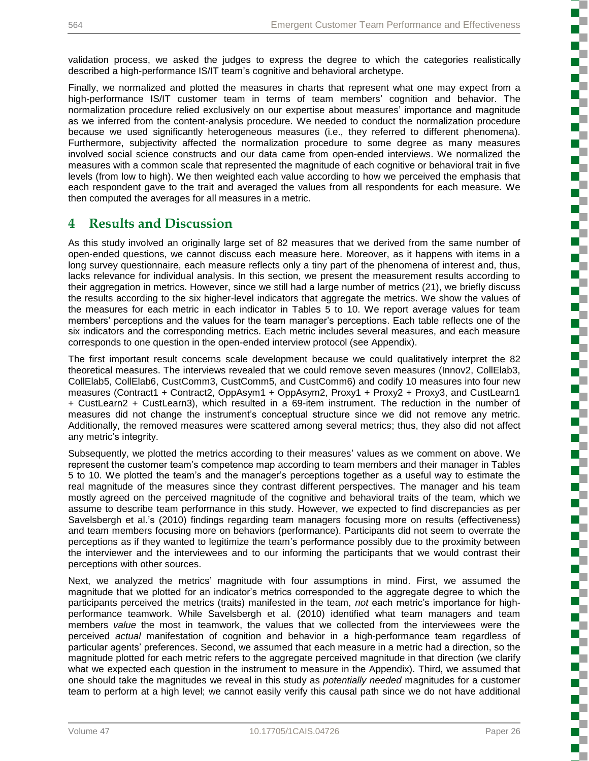validation process, we asked the judges to express the degree to which the categories realistically described a high-performance IS/IT team's cognitive and behavioral archetype.

Finally, we normalized and plotted the measures in charts that represent what one may expect from a high-performance IS/IT customer team in terms of team members' cognition and behavior. The normalization procedure relied exclusively on our expertise about measures' importance and magnitude as we inferred from the content-analysis procedure. We needed to conduct the normalization procedure because we used significantly heterogeneous measures (i.e., they referred to different phenomena). Furthermore, subjectivity affected the normalization procedure to some degree as many measures involved social science constructs and our data came from open-ended interviews. We normalized the measures with a common scale that represented the magnitude of each cognitive or behavioral trait in five levels (from low to high). We then weighted each value according to how we perceived the emphasis that each respondent gave to the trait and averaged the values from all respondents for each measure. We then computed the averages for all measures in a metric.

## **4 Results and Discussion**

As this study involved an originally large set of 82 measures that we derived from the same number of open-ended questions, we cannot discuss each measure here. Moreover, as it happens with items in a long survey questionnaire, each measure reflects only a tiny part of the phenomena of interest and, thus, lacks relevance for individual analysis. In this section, we present the measurement results according to their aggregation in metrics. However, since we still had a large number of metrics (21), we briefly discuss the results according to the six higher-level indicators that aggregate the metrics. We show the values of the measures for each metric in each indicator in Tables 5 to 10. We report average values for team members' perceptions and the values for the team manager's perceptions. Each table reflects one of the six indicators and the corresponding metrics. Each metric includes several measures, and each measure corresponds to one question in the open-ended interview protocol (see Appendix).

The first important result concerns scale development because we could qualitatively interpret the 82 theoretical measures. The interviews revealed that we could remove seven measures (Innov2, CollElab3, CollElab5, CollElab6, CustComm3, CustComm5, and CustComm6) and codify 10 measures into four new measures (Contract1 + Contract2, OppAsym1 + OppAsym2, Proxy1 + Proxy2 + Proxy3, and CustLearn1 + CustLearn2 + CustLearn3), which resulted in a 69-item instrument. The reduction in the number of measures did not change the instrument's conceptual structure since we did not remove any metric. Additionally, the removed measures were scattered among several metrics; thus, they also did not affect any metric's integrity.

Subsequently, we plotted the metrics according to their measures' values as we comment on above. We represent the customer team's competence map according to team members and their manager in Tables 5 to 10. We plotted the team's and the manager's perceptions together as a useful way to estimate the real magnitude of the measures since they contrast different perspectives. The manager and his team mostly agreed on the perceived magnitude of the cognitive and behavioral traits of the team, which we assume to describe team performance in this study. However, we expected to find discrepancies as per Savelsbergh et al.'s (2010) findings regarding team managers focusing more on results (effectiveness) and team members focusing more on behaviors (performance). Participants did not seem to overrate the perceptions as if they wanted to legitimize the team's performance possibly due to the proximity between the interviewer and the interviewees and to our informing the participants that we would contrast their perceptions with other sources.

Next, we analyzed the metrics' magnitude with four assumptions in mind. First, we assumed the magnitude that we plotted for an indicator's metrics corresponded to the aggregate degree to which the participants perceived the metrics (traits) manifested in the team, *not* each metric's importance for highperformance teamwork. While Savelsbergh et al. (2010) identified what team managers and team members *value* the most in teamwork, the values that we collected from the interviewees were the perceived *actual* manifestation of cognition and behavior in a high-performance team regardless of particular agents' preferences. Second, we assumed that each measure in a metric had a direction, so the magnitude plotted for each metric refers to the aggregate perceived magnitude in that direction (we clarify what we expected each question in the instrument to measure in the Appendix). Third, we assumed that one should take the magnitudes we reveal in this study as *potentially needed* magnitudes for a customer team to perform at a high level; we cannot easily verify this causal path since we do not have additional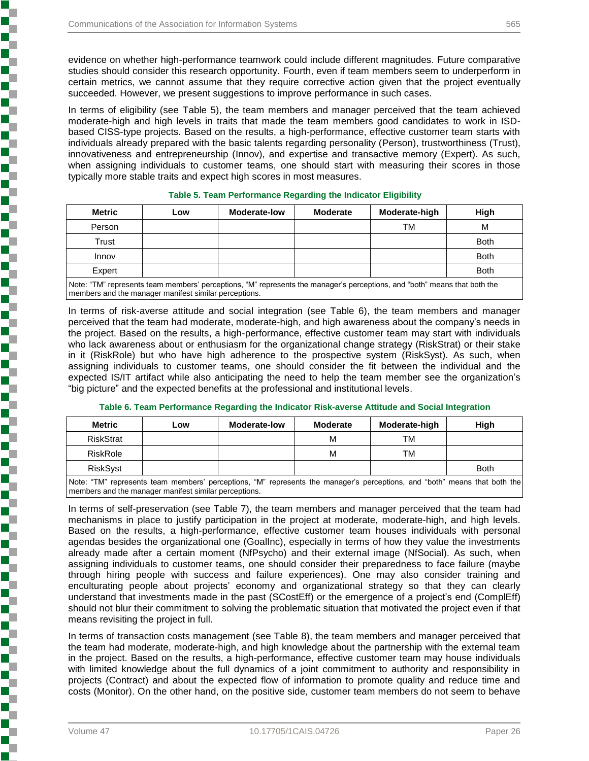evidence on whether high-performance teamwork could include different magnitudes. Future comparative studies should consider this research opportunity. Fourth, even if team members seem to underperform in certain metrics, we cannot assume that they require corrective action given that the project eventually succeeded. However, we present suggestions to improve performance in such cases.

In terms of eligibility (see Table 5), the team members and manager perceived that the team achieved moderate-high and high levels in traits that made the team members good candidates to work in ISDbased CISS-type projects. Based on the results, a high-performance, effective customer team starts with individuals already prepared with the basic talents regarding personality (Person), trustworthiness (Trust), innovativeness and entrepreneurship (Innov), and expertise and transactive memory (Expert). As such, when assigning individuals to customer teams, one should start with measuring their scores in those typically more stable traits and expect high scores in most measures.

| <b>Metric</b>                                                                                                             | Low | Moderate-low | <b>Moderate</b> | Moderate-high | High        |  |
|---------------------------------------------------------------------------------------------------------------------------|-----|--------------|-----------------|---------------|-------------|--|
| Person                                                                                                                    |     |              |                 | ТM            | M           |  |
| Trust                                                                                                                     |     |              |                 |               | <b>Both</b> |  |
| Innov                                                                                                                     |     |              |                 |               | <b>Both</b> |  |
| Expert                                                                                                                    |     |              |                 |               | <b>Both</b> |  |
| Note: "TM" represents team members' perceptions, "M" represents the manager's perceptions, and "both" means that both the |     |              |                 |               |             |  |

#### **Table 5. Team Performance Regarding the Indicator Eligibility**

members and the manager manifest similar perceptions.

In terms of risk-averse attitude and social integration (see Table 6), the team members and manager perceived that the team had moderate, moderate-high, and high awareness about the company's needs in the project. Based on the results, a high-performance, effective customer team may start with individuals who lack awareness about or enthusiasm for the organizational change strategy (RiskStrat) or their stake in it (RiskRole) but who have high adherence to the prospective system (RiskSyst). As such, when assigning individuals to customer teams, one should consider the fit between the individual and the expected IS/IT artifact while also anticipating the need to help the team member see the organization's "big picture" and the expected benefits at the professional and institutional levels.

#### **Table 6. Team Performance Regarding the Indicator Risk-averse Attitude and Social Integration**

| <b>Metric</b>    | Low | <b>Moderate-low</b> | <b>Moderate</b> | Moderate-high | High        |  |
|------------------|-----|---------------------|-----------------|---------------|-------------|--|
| <b>RiskStrat</b> |     |                     | M               | ТM            |             |  |
| RiskRole         |     |                     | M               | TM            |             |  |
| <b>RiskSyst</b>  |     |                     |                 |               | <b>Both</b> |  |
| .                |     |                     |                 |               |             |  |

Note: "TM" represents team members' perceptions, "M" represents the manager's perceptions, and "both" means that both the members and the manager manifest similar perceptions.

In terms of self-preservation (see Table 7), the team members and manager perceived that the team had mechanisms in place to justify participation in the project at moderate, moderate-high, and high levels. Based on the results, a high-performance, effective customer team houses individuals with personal agendas besides the organizational one (GoalInc), especially in terms of how they value the investments already made after a certain moment (NfPsycho) and their external image (NfSocial). As such, when assigning individuals to customer teams, one should consider their preparedness to face failure (maybe through hiring people with success and failure experiences). One may also consider training and enculturating people about projects' economy and organizational strategy so that they can clearly understand that investments made in the past (SCostEff) or the emergence of a project's end (ComplEff) should not blur their commitment to solving the problematic situation that motivated the project even if that means revisiting the project in full.

In terms of transaction costs management (see Table 8), the team members and manager perceived that the team had moderate, moderate-high, and high knowledge about the partnership with the external team in the project. Based on the results, a high-performance, effective customer team may house individuals with limited knowledge about the full dynamics of a joint commitment to authority and responsibility in projects (Contract) and about the expected flow of information to promote quality and reduce time and costs (Monitor). On the other hand, on the positive side, customer team members do not seem to behave

J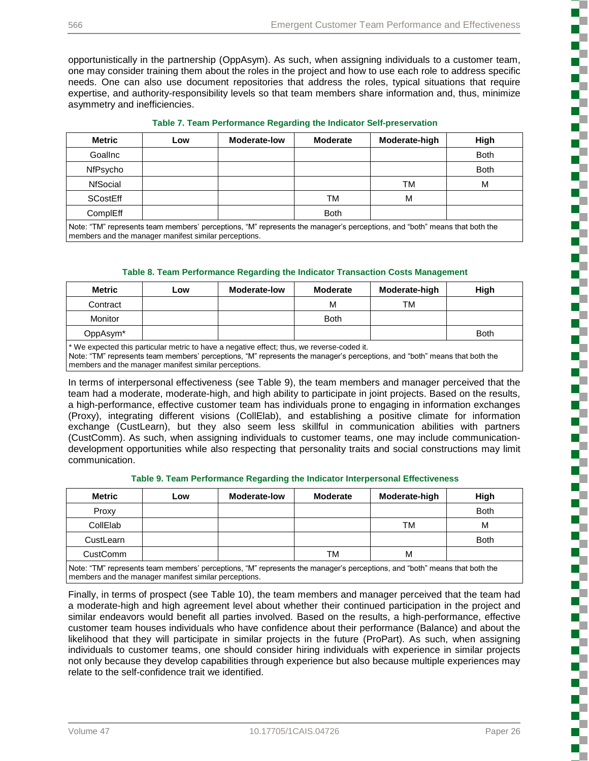ì

5

Ş

ί

.<br>.<br>.

į

opportunistically in the partnership (OppAsym). As such, when assigning individuals to a customer team, one may consider training them about the roles in the project and how to use each role to address specific needs. One can also use document repositories that address the roles, typical situations that require expertise, and authority-responsibility levels so that team members share information and, thus, minimize asymmetry and inefficiencies.

|  |  |  |  | Table 7. Team Performance Regarding the Indicator Self-preservation |
|--|--|--|--|---------------------------------------------------------------------|
|--|--|--|--|---------------------------------------------------------------------|

| <b>Metric</b>   | Low | <b>Moderate-low</b>       | <b>Moderate</b> | Moderate-high        | High        |
|-----------------|-----|---------------------------|-----------------|----------------------|-------------|
| GoalInc         |     |                           |                 |                      | <b>Both</b> |
| NfPsycho        |     |                           |                 |                      | <b>Both</b> |
| NfSocial        |     |                           |                 | ТM                   | M           |
| <b>SCostEff</b> |     |                           | ТM              | M                    |             |
| ComplEff        |     |                           | <b>Both</b>     |                      |             |
|                 | .   | $\sim$ $\sim$<br>$\cdots$ |                 | $\sim$ $\sim$ $\sim$ |             |

Note: "TM" represents team members' perceptions, "M" represents the manager's perceptions, and "both" means that both the members and the manager manifest similar perceptions.

#### **Table 8. Team Performance Regarding the Indicator Transaction Costs Management**

| <b>Metric</b>        | Low | <b>Moderate-low</b> | <b>Moderate</b> | Moderate-high | High        |
|----------------------|-----|---------------------|-----------------|---------------|-------------|
| Contract             |     |                     | м               | TM            |             |
| Monitor              |     |                     | <b>Both</b>     |               |             |
| OppAsym <sup>*</sup> |     |                     |                 |               | <b>Both</b> |

\* We expected this particular metric to have a negative effect; thus, we reverse-coded it.

Note: "TM" represents team members' perceptions, "M" represents the manager's perceptions, and "both" means that both the members and the manager manifest similar perceptions.

In terms of interpersonal effectiveness (see Table 9), the team members and manager perceived that the team had a moderate, moderate-high, and high ability to participate in joint projects. Based on the results, a high-performance, effective customer team has individuals prone to engaging in information exchanges (Proxy), integrating different visions (CollElab), and establishing a positive climate for information exchange (CustLearn), but they also seem less skillful in communication abilities with partners (CustComm). As such, when assigning individuals to customer teams, one may include communicationdevelopment opportunities while also respecting that personality traits and social constructions may limit communication.

#### **Table 9. Team Performance Regarding the Indicator Interpersonal Effectiveness**

| <b>Metric</b>                                                                                                                                                                      | Low | <b>Moderate-low</b> | <b>Moderate</b> | Moderate-high | High        |  |
|------------------------------------------------------------------------------------------------------------------------------------------------------------------------------------|-----|---------------------|-----------------|---------------|-------------|--|
| Proxy                                                                                                                                                                              |     |                     |                 |               | <b>Both</b> |  |
| CollElab                                                                                                                                                                           |     |                     |                 | TM            | м           |  |
| CustLearn                                                                                                                                                                          |     |                     |                 |               | <b>Both</b> |  |
| <b>CustComm</b>                                                                                                                                                                    |     |                     | TM              | М             |             |  |
| Note: "TM" represents team members' perceptions, "M" represents the manager's perceptions, and "both" means that both the<br>members and the manager manifest similar perceptions. |     |                     |                 |               |             |  |

Finally, in terms of prospect (see Table 10), the team members and manager perceived that the team had a moderate-high and high agreement level about whether their continued participation in the project and similar endeavors would benefit all parties involved. Based on the results, a high-performance, effective customer team houses individuals who have confidence about their performance (Balance) and about the likelihood that they will participate in similar projects in the future (ProPart). As such, when assigning individuals to customer teams, one should consider hiring individuals with experience in similar projects not only because they develop capabilities through experience but also because multiple experiences may relate to the self-confidence trait we identified.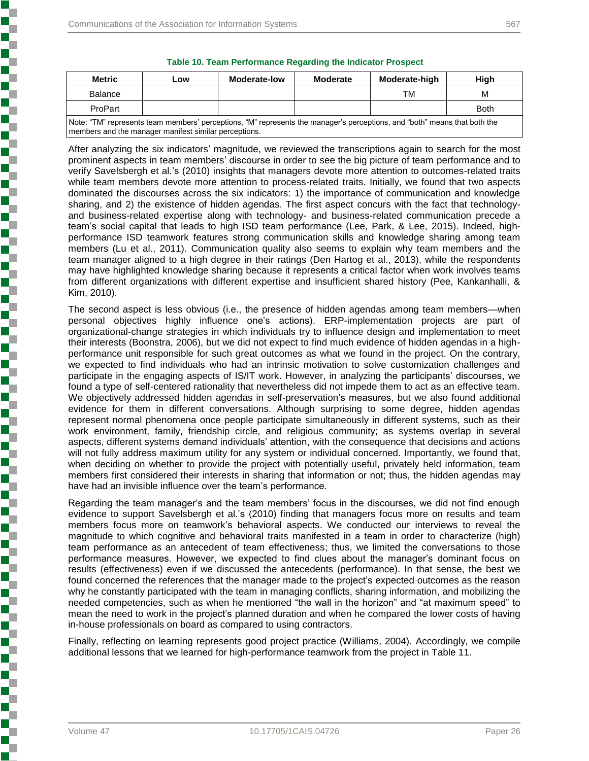members and the manager manifest similar perceptions.

|  | Table 10. Team Performance Regarding the Indicator Prospect |  |  |  |
|--|-------------------------------------------------------------|--|--|--|
|  |                                                             |  |  |  |

| <b>Metric</b>                                                                                                             | Low | Moderate-low | Moderate | Moderate-high | High        |
|---------------------------------------------------------------------------------------------------------------------------|-----|--------------|----------|---------------|-------------|
| <b>Balance</b>                                                                                                            |     |              |          | тм            | М           |
| ProPart                                                                                                                   |     |              |          |               | <b>Both</b> |
| Note: "TM" represents team members' perceptions, "M" represents the manager's perceptions, and "both" means that both the |     |              |          |               |             |

After analyzing the six indicators' magnitude, we reviewed the transcriptions again to search for the most prominent aspects in team members' discourse in order to see the big picture of team performance and to verify Savelsbergh et al.'s (2010) insights that managers devote more attention to outcomes-related traits while team members devote more attention to process-related traits. Initially, we found that two aspects dominated the discourses across the six indicators: 1) the importance of communication and knowledge sharing, and 2) the existence of hidden agendas. The first aspect concurs with the fact that technologyand business-related expertise along with technology- and business-related communication precede a team's social capital that leads to high ISD team performance (Lee, Park, & Lee, 2015). Indeed, highperformance ISD teamwork features strong communication skills and knowledge sharing among team members (Lu et al., 2011). Communication quality also seems to explain why team members and the team manager aligned to a high degree in their ratings (Den Hartog et al., 2013), while the respondents may have highlighted knowledge sharing because it represents a critical factor when work involves teams from different organizations with different expertise and insufficient shared history (Pee, Kankanhalli, & Kim, 2010).

The second aspect is less obvious (i.e., the presence of hidden agendas among team members—when personal objectives highly influence one's actions). ERP-implementation projects are part of organizational-change strategies in which individuals try to influence design and implementation to meet their interests (Boonstra, 2006), but we did not expect to find much evidence of hidden agendas in a highperformance unit responsible for such great outcomes as what we found in the project. On the contrary, we expected to find individuals who had an intrinsic motivation to solve customization challenges and participate in the engaging aspects of IS/IT work. However, in analyzing the participants' discourses, we found a type of self-centered rationality that nevertheless did not impede them to act as an effective team. We objectively addressed hidden agendas in self-preservation's measures, but we also found additional evidence for them in different conversations. Although surprising to some degree, hidden agendas represent normal phenomena once people participate simultaneously in different systems, such as their work environment, family, friendship circle, and religious community; as systems overlap in several aspects, different systems demand individuals' attention, with the consequence that decisions and actions will not fully address maximum utility for any system or individual concerned. Importantly, we found that, when deciding on whether to provide the project with potentially useful, privately held information, team members first considered their interests in sharing that information or not; thus, the hidden agendas may have had an invisible influence over the team's performance.

Regarding the team manager's and the team members' focus in the discourses, we did not find enough evidence to support Savelsbergh et al.'s (2010) finding that managers focus more on results and team members focus more on teamwork's behavioral aspects. We conducted our interviews to reveal the magnitude to which cognitive and behavioral traits manifested in a team in order to characterize (high) team performance as an antecedent of team effectiveness; thus, we limited the conversations to those performance measures. However, we expected to find clues about the manager's dominant focus on results (effectiveness) even if we discussed the antecedents (performance). In that sense, the best we found concerned the references that the manager made to the project's expected outcomes as the reason why he constantly participated with the team in managing conflicts, sharing information, and mobilizing the needed competencies, such as when he mentioned "the wall in the horizon" and "at maximum speed" to mean the need to work in the project's planned duration and when he compared the lower costs of having in-house professionals on board as compared to using contractors.

Finally, reflecting on learning represents good project practice (Williams, 2004). Accordingly, we compile additional lessons that we learned for high-performance teamwork from the project in Table 11.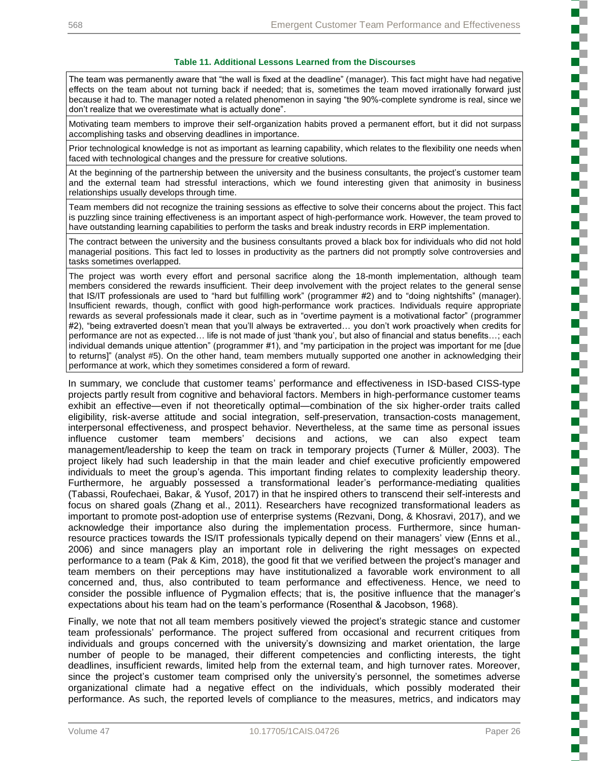#### **Table 11. Additional Lessons Learned from the Discourses**

The team was permanently aware that "the wall is fixed at the deadline" (manager). This fact might have had negative effects on the team about not turning back if needed; that is, sometimes the team moved irrationally forward just because it had to. The manager noted a related phenomenon in saying "the 90%-complete syndrome is real, since we don't realize that we overestimate what is actually done".

Motivating team members to improve their self-organization habits proved a permanent effort, but it did not surpass accomplishing tasks and observing deadlines in importance.

Prior technological knowledge is not as important as learning capability, which relates to the flexibility one needs when faced with technological changes and the pressure for creative solutions.

At the beginning of the partnership between the university and the business consultants, the project's customer team and the external team had stressful interactions, which we found interesting given that animosity in business relationships usually develops through time.

Team members did not recognize the training sessions as effective to solve their concerns about the project. This fact is puzzling since training effectiveness is an important aspect of high-performance work. However, the team proved to have outstanding learning capabilities to perform the tasks and break industry records in ERP implementation.

The contract between the university and the business consultants proved a black box for individuals who did not hold managerial positions. This fact led to losses in productivity as the partners did not promptly solve controversies and tasks sometimes overlapped.

The project was worth every effort and personal sacrifice along the 18-month implementation, although team members considered the rewards insufficient. Their deep involvement with the project relates to the general sense that IS/IT professionals are used to "hard but fulfilling work" (programmer #2) and to "doing nightshifts" (manager). Insufficient rewards, though, conflict with good high-performance work practices. Individuals require appropriate rewards as several professionals made it clear, such as in "overtime payment is a motivational factor" (programmer #2), "being extraverted doesn't mean that you'll always be extraverted… you don't work proactively when credits for performance are not as expected… life is not made of just 'thank you', but also of financial and status benefits…; each individual demands unique attention" (programmer #1), and "my participation in the project was important for me [due to returns]" (analyst #5). On the other hand, team members mutually supported one another in acknowledging their performance at work, which they sometimes considered a form of reward.

In summary, we conclude that customer teams' performance and effectiveness in ISD-based CISS-type projects partly result from cognitive and behavioral factors. Members in high-performance customer teams exhibit an effective—even if not theoretically optimal—combination of the six higher-order traits called eligibility, risk-averse attitude and social integration, self-preservation, transaction-costs management, interpersonal effectiveness, and prospect behavior. Nevertheless, at the same time as personal issues influence customer team members' decisions and actions, we can also expect team management/leadership to keep the team on track in temporary projects (Turner & Müller, 2003). The project likely had such leadership in that the main leader and chief executive proficiently empowered individuals to meet the group's agenda. This important finding relates to complexity leadership theory. Furthermore, he arguably possessed a transformational leader's performance-mediating qualities (Tabassi, Roufechaei, Bakar, & Yusof, 2017) in that he inspired others to transcend their self-interests and focus on shared goals (Zhang et al., 2011). Researchers have recognized transformational leaders as important to promote post-adoption use of enterprise systems (Rezvani, Dong, & Khosravi, 2017), and we acknowledge their importance also during the implementation process. Furthermore, since humanresource practices towards the IS/IT professionals typically depend on their managers' view (Enns et al., 2006) and since managers play an important role in delivering the right messages on expected performance to a team (Pak & Kim, 2018), the good fit that we verified between the project's manager and team members on their perceptions may have institutionalized a favorable work environment to all concerned and, thus, also contributed to team performance and effectiveness. Hence, we need to consider the possible influence of Pygmalion effects; that is, the positive influence that the manager's expectations about his team had on the team's performance (Rosenthal & Jacobson, 1968).

Finally, we note that not all team members positively viewed the project's strategic stance and customer team professionals' performance. The project suffered from occasional and recurrent critiques from individuals and groups concerned with the university's downsizing and market orientation, the large number of people to be managed, their different competencies and conflicting interests, the tight deadlines, insufficient rewards, limited help from the external team, and high turnover rates. Moreover, since the project's customer team comprised only the university's personnel, the sometimes adverse organizational climate had a negative effect on the individuals, which possibly moderated their performance. As such, the reported levels of compliance to the measures, metrics, and indicators may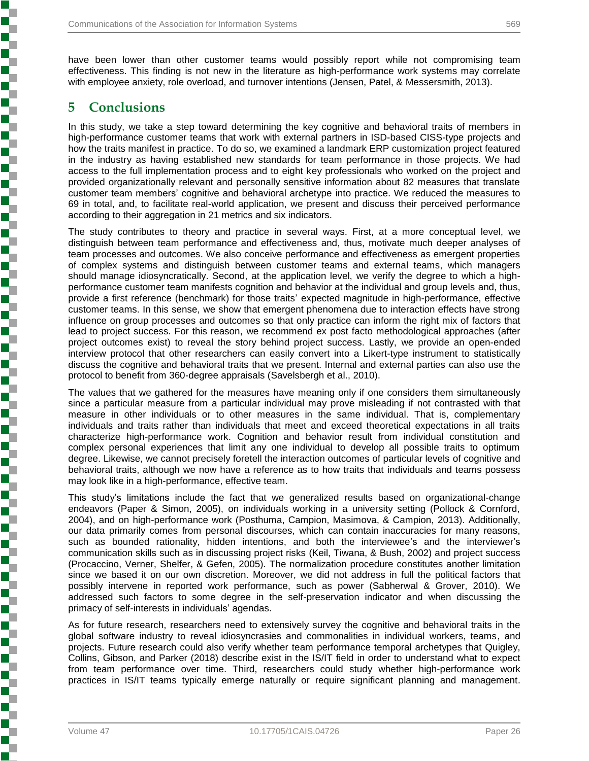have been lower than other customer teams would possibly report while not compromising team effectiveness. This finding is not new in the literature as high-performance work systems may correlate with employee anxiety, role overload, and turnover intentions (Jensen, Patel, & Messersmith, 2013).

## **5 Conclusions**

Í

į

į

In this study, we take a step toward determining the key cognitive and behavioral traits of members in high-performance customer teams that work with external partners in ISD-based CISS-type projects and how the traits manifest in practice. To do so, we examined a landmark ERP customization project featured in the industry as having established new standards for team performance in those projects. We had access to the full implementation process and to eight key professionals who worked on the project and provided organizationally relevant and personally sensitive information about 82 measures that translate customer team members' cognitive and behavioral archetype into practice. We reduced the measures to 69 in total, and, to facilitate real-world application, we present and discuss their perceived performance according to their aggregation in 21 metrics and six indicators.

The study contributes to theory and practice in several ways. First, at a more conceptual level, we distinguish between team performance and effectiveness and, thus, motivate much deeper analyses of team processes and outcomes. We also conceive performance and effectiveness as emergent properties of complex systems and distinguish between customer teams and external teams, which managers should manage idiosyncratically. Second, at the application level, we verify the degree to which a highperformance customer team manifests cognition and behavior at the individual and group levels and, thus, provide a first reference (benchmark) for those traits' expected magnitude in high-performance, effective customer teams. In this sense, we show that emergent phenomena due to interaction effects have strong influence on group processes and outcomes so that only practice can inform the right mix of factors that lead to project success. For this reason, we recommend ex post facto methodological approaches (after project outcomes exist) to reveal the story behind project success. Lastly, we provide an open-ended interview protocol that other researchers can easily convert into a Likert-type instrument to statistically discuss the cognitive and behavioral traits that we present. Internal and external parties can also use the protocol to benefit from 360-degree appraisals (Savelsbergh et al., 2010).

The values that we gathered for the measures have meaning only if one considers them simultaneously since a particular measure from a particular individual may prove misleading if not contrasted with that measure in other individuals or to other measures in the same individual. That is, complementary individuals and traits rather than individuals that meet and exceed theoretical expectations in all traits characterize high-performance work. Cognition and behavior result from individual constitution and complex personal experiences that limit any one individual to develop all possible traits to optimum degree. Likewise, we cannot precisely foretell the interaction outcomes of particular levels of cognitive and behavioral traits, although we now have a reference as to how traits that individuals and teams possess may look like in a high-performance, effective team.

This study's limitations include the fact that we generalized results based on organizational-change endeavors (Paper & Simon, 2005), on individuals working in a university setting (Pollock & Cornford, 2004), and on high-performance work (Posthuma, Campion, Masimova, & Campion, 2013). Additionally, our data primarily comes from personal discourses, which can contain inaccuracies for many reasons, such as bounded rationality, hidden intentions, and both the interviewee's and the interviewer's communication skills such as in discussing project risks (Keil, Tiwana, & Bush, 2002) and project success (Procaccino, Verner, Shelfer, & Gefen, 2005). The normalization procedure constitutes another limitation since we based it on our own discretion. Moreover, we did not address in full the political factors that possibly intervene in reported work performance, such as power (Sabherwal & Grover, 2010). We addressed such factors to some degree in the self-preservation indicator and when discussing the primacy of self-interests in individuals' agendas.

As for future research, researchers need to extensively survey the cognitive and behavioral traits in the global software industry to reveal idiosyncrasies and commonalities in individual workers, teams, and projects. Future research could also verify whether team performance temporal archetypes that Quigley, Collins, Gibson, and Parker (2018) describe exist in the IS/IT field in order to understand what to expect from team performance over time. Third, researchers could study whether high-performance work practices in IS/IT teams typically emerge naturally or require significant planning and management.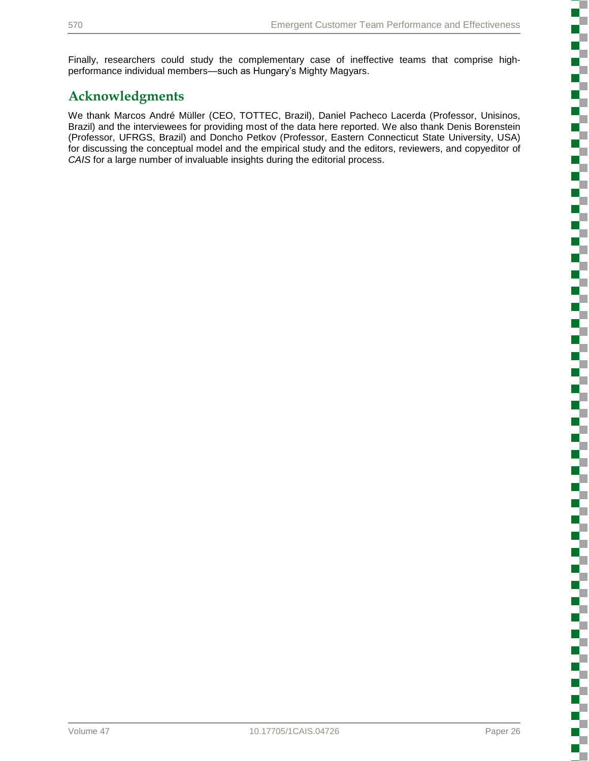Finally, researchers could study the complementary case of ineffective teams that comprise highperformance individual members—such as Hungary's Mighty Magyars.

## **Acknowledgments**

We thank Marcos André Müller (CEO, TOTTEC, Brazil), Daniel Pacheco Lacerda (Professor, Unisinos, Brazil) and the interviewees for providing most of the data here reported. We also thank Denis Borenstein (Professor, UFRGS, Brazil) and Doncho Petkov (Professor, Eastern Connecticut State University, USA) for discussing the conceptual model and the empirical study and the editors, reviewers, and copyeditor of *CAIS* for a large number of invaluable insights during the editorial process.

i<br>Sanada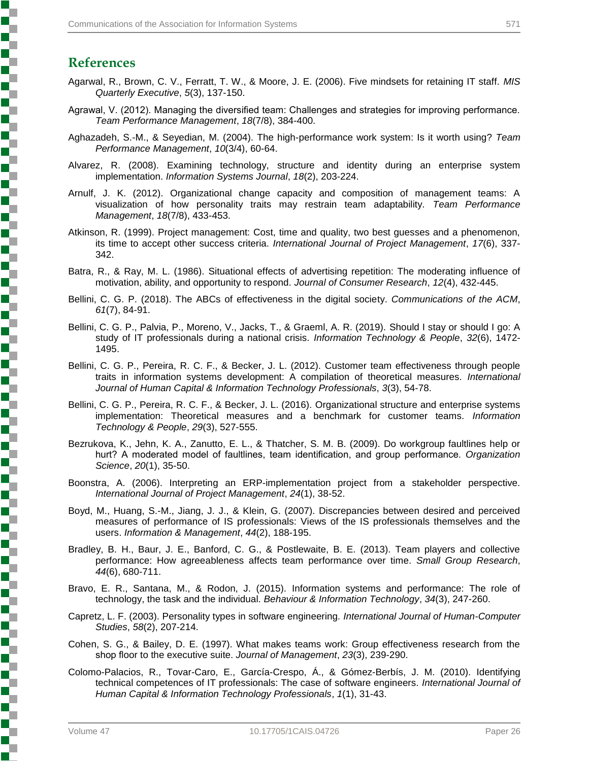## **References**

**Property in the company's company's company's company's company's company's company's company's company's company's company's company's company's company's company's company's company's company's company's company's compa** 

- Agarwal, R., Brown, C. V., Ferratt, T. W., & Moore, J. E. (2006). Five mindsets for retaining IT staff. *MIS Quarterly Executive*, *5*(3), 137-150.
- Agrawal, V. (2012). Managing the diversified team: Challenges and strategies for improving performance. *Team Performance Management*, *18*(7/8), 384-400.
- Aghazadeh, S.-M., & Seyedian, M. (2004). The high-performance work system: Is it worth using? *Team Performance Management*, *10*(3/4), 60-64.
- Alvarez, R. (2008). Examining technology, structure and identity during an enterprise system implementation. *Information Systems Journal*, *18*(2), 203-224.
- Arnulf, J. K. (2012). Organizational change capacity and composition of management teams: A visualization of how personality traits may restrain team adaptability. *Team Performance Management*, *18*(7/8), 433-453.
- Atkinson, R. (1999). Project management: Cost, time and quality, two best guesses and a phenomenon, its time to accept other success criteria. *International Journal of Project Management*, *17*(6), 337- 342.
- Batra, R., & Ray, M. L. (1986). Situational effects of advertising repetition: The moderating influence of motivation, ability, and opportunity to respond. *Journal of Consumer Research*, *12*(4), 432-445.
- Bellini, C. G. P. (2018). The ABCs of effectiveness in the digital society. *Communications of the ACM*, *61*(7), 84-91.
- Bellini, C. G. P., Palvia, P., Moreno, V., Jacks, T., & Graeml, A. R. (2019). Should I stay or should I go: A study of IT professionals during a national crisis. *Information Technology & People*, *32*(6), 1472- 1495.
- Bellini, C. G. P., Pereira, R. C. F., & Becker, J. L. (2012). Customer team effectiveness through people traits in information systems development: A compilation of theoretical measures. *International Journal of Human Capital & Information Technology Professionals*, *3*(3), 54-78.
- Bellini, C. G. P., Pereira, R. C. F., & Becker, J. L. (2016). Organizational structure and enterprise systems implementation: Theoretical measures and a benchmark for customer teams. *Information Technology & People*, *29*(3), 527-555.
- Bezrukova, K., Jehn, K. A., Zanutto, E. L., & Thatcher, S. M. B. (2009). Do workgroup faultlines help or hurt? A moderated model of faultlines, team identification, and group performance. *Organization Science*, *20*(1), 35-50.
- Boonstra, A. (2006). Interpreting an ERP-implementation project from a stakeholder perspective. *International Journal of Project Management*, *24*(1), 38-52.
- Boyd, M., Huang, S.-M., Jiang, J. J., & Klein, G. (2007). Discrepancies between desired and perceived measures of performance of IS professionals: Views of the IS professionals themselves and the users. *Information & Management*, *44*(2), 188-195.
- Bradley, B. H., Baur, J. E., Banford, C. G., & Postlewaite, B. E. (2013). Team players and collective performance: How agreeableness affects team performance over time. *Small Group Research*, *44*(6), 680-711.
- Bravo, E. R., Santana, M., & Rodon, J. (2015). Information systems and performance: The role of technology, the task and the individual. *Behaviour & Information Technology*, *34*(3), 247-260.
- Capretz, L. F. (2003). Personality types in software engineering. *International Journal of Human-Computer Studies*, *58*(2), 207-214.
- Cohen, S. G., & Bailey, D. E. (1997). What makes teams work: Group effectiveness research from the shop floor to the executive suite. *Journal of Management*, *23*(3), 239-290.
- Colomo-Palacios, R., Tovar-Caro, E., García-Crespo, Á., & Gómez-Berbís, J. M. (2010). Identifying technical competences of IT professionals: The case of software engineers. *International Journal of Human Capital & Information Technology Professionals*, *1*(1), 31-43.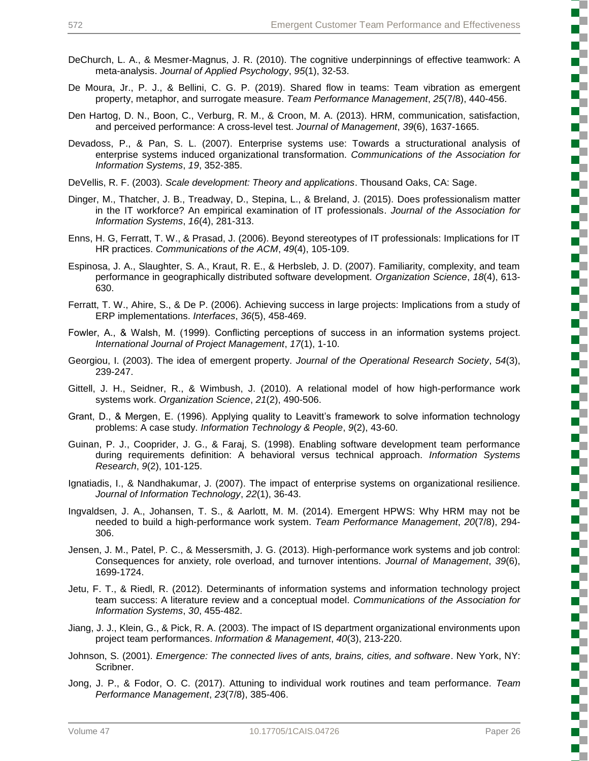- DeChurch, L. A., & Mesmer-Magnus, J. R. (2010). The cognitive underpinnings of effective teamwork: A meta-analysis. *Journal of Applied Psychology*, *95*(1), 32-53.
- De Moura, Jr., P. J., & Bellini, C. G. P. (2019). Shared flow in teams: Team vibration as emergent property, metaphor, and surrogate measure. *Team Performance Management*, *25*(7/8), 440-456.
- Den Hartog, D. N., Boon, C., Verburg, R. M., & Croon, M. A. (2013). HRM, communication, satisfaction, and perceived performance: A cross-level test. *Journal of Management*, *39*(6), 1637-1665.
- Devadoss, P., & Pan, S. L. (2007). Enterprise systems use: Towards a structurational analysis of enterprise systems induced organizational transformation. *Communications of the Association for Information Systems*, *19*, 352-385.
- DeVellis, R. F. (2003). *Scale development: Theory and applications*. Thousand Oaks, CA: Sage.
- Dinger, M., Thatcher, J. B., Treadway, D., Stepina, L., & Breland, J. (2015). Does professionalism matter in the IT workforce? An empirical examination of IT professionals. *Journal of the Association for Information Systems*, *16*(4), 281-313.
- Enns, H. G, Ferratt, T. W., & Prasad, J. (2006). Beyond stereotypes of IT professionals: Implications for IT HR practices. *Communications of the ACM*, *49*(4), 105-109.
- Espinosa, J. A., Slaughter, S. A., Kraut, R. E., & Herbsleb, J. D. (2007). Familiarity, complexity, and team performance in geographically distributed software development. *Organization Science*, *18*(4), 613- 630.
- Ferratt, T. W., Ahire, S., & De P. (2006). Achieving success in large projects: Implications from a study of ERP implementations. *Interfaces*, *36*(5), 458-469.
- Fowler, A., & Walsh, M. (1999). Conflicting perceptions of success in an information systems project. *International Journal of Project Management*, *17*(1), 1-10.
- Georgiou, I. (2003). The idea of emergent property. *Journal of the Operational Research Society*, *54*(3), 239-247.
- Gittell, J. H., Seidner, R., & Wimbush, J. (2010). A relational model of how high-performance work systems work. *Organization Science*, *21*(2), 490-506.
- Grant, D., & Mergen, E. (1996). Applying quality to Leavitt's framework to solve information technology problems: A case study. *Information Technology & People*, *9*(2), 43-60.
- Guinan, P. J., Cooprider, J. G., & Faraj, S. (1998). Enabling software development team performance during requirements definition: A behavioral versus technical approach. *Information Systems Research*, *9*(2), 101-125.
- Ignatiadis, I., & Nandhakumar, J. (2007). The impact of enterprise systems on organizational resilience. *Journal of Information Technology*, *22*(1), 36-43.
- Ingvaldsen, J. A., Johansen, T. S., & Aarlott, M. M. (2014). Emergent HPWS: Why HRM may not be needed to build a high-performance work system. *Team Performance Management*, *20*(7/8), 294- 306.
- Jensen, J. M., Patel, P. C., & Messersmith, J. G. (2013). High-performance work systems and job control: Consequences for anxiety, role overload, and turnover intentions. *Journal of Management*, *39*(6), 1699-1724.
- Jetu, F. T., & Riedl, R. (2012). Determinants of information systems and information technology project team success: A literature review and a conceptual model. *Communications of the Association for Information Systems*, *30*, 455-482.
- Jiang, J. J., Klein, G., & Pick, R. A. (2003). The impact of IS department organizational environments upon project team performances. *Information & Management*, *40*(3), 213-220.
- Johnson, S. (2001). *Emergence: The connected lives of ants, brains, cities, and software*. New York, NY: Scribner.
- Jong, J. P., & Fodor, O. C. (2017). Attuning to individual work routines and team performance. *Team Performance Management*, *23*(7/8), 385-406.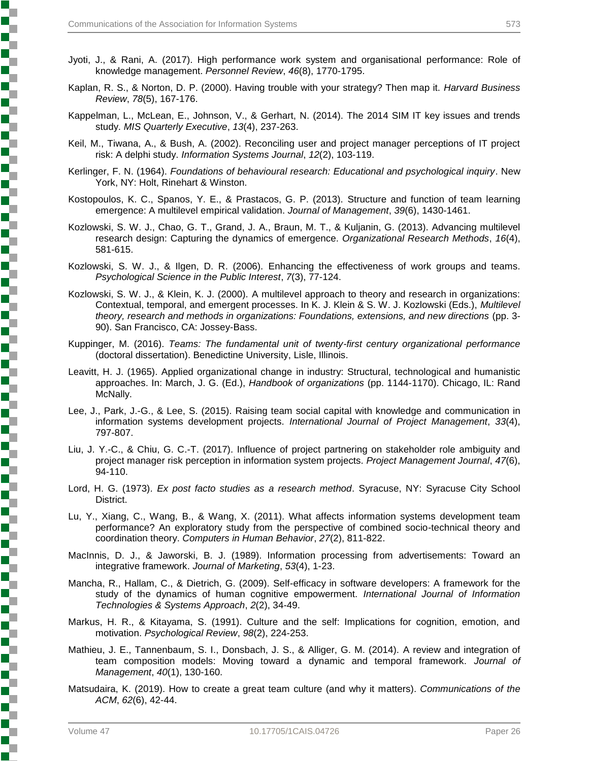- Jyoti, J., & Rani, A. (2017). High performance work system and organisational performance: Role of knowledge management. *Personnel Review*, *46*(8), 1770-1795.
- Kaplan, R. S., & Norton, D. P. (2000). Having trouble with your strategy? Then map it. *Harvard Business Review*, *78*(5), 167-176.
- Kappelman, L., McLean, E., Johnson, V., & Gerhart, N. (2014). The 2014 SIM IT key issues and trends study. *MIS Quarterly Executive*, *13*(4), 237-263.
- Keil, M., Tiwana, A., & Bush, A. (2002). Reconciling user and project manager perceptions of IT project risk: A delphi study. *Information Systems Journal*, *12*(2), 103-119.
- Kerlinger, F. N. (1964). *Foundations of behavioural research: Educational and psychological inquiry*. New York, NY: Holt, Rinehart & Winston.
- Kostopoulos, K. C., Spanos, Y. E., & Prastacos, G. P. (2013). Structure and function of team learning emergence: A multilevel empirical validation. *Journal of Management*, *39*(6), 1430-1461.
- Kozlowski, S. W. J., Chao, G. T., Grand, J. A., Braun, M. T., & Kuljanin, G. (2013). Advancing multilevel research design: Capturing the dynamics of emergence. *Organizational Research Methods*, *16*(4), 581-615.
- Kozlowski, S. W. J., & Ilgen, D. R. (2006). Enhancing the effectiveness of work groups and teams. *Psychological Science in the Public Interest*, *7*(3), 77-124.
- Kozlowski, S. W. J., & Klein, K. J. (2000). A multilevel approach to theory and research in organizations: Contextual, temporal, and emergent processes. In K. J. Klein & S. W. J. Kozlowski (Eds.), *Multilevel theory, research and methods in organizations: Foundations, extensions, and new directions* (pp. 3- 90). San Francisco, CA: Jossey-Bass.
- Kuppinger, M. (2016). *Teams: The fundamental unit of twenty-first century organizational performance* (doctoral dissertation). Benedictine University, Lisle, Illinois.
- Leavitt, H. J. (1965). Applied organizational change in industry: Structural, technological and humanistic approaches. In: March, J. G. (Ed.), *Handbook of organizations* (pp. 1144-1170). Chicago, IL: Rand McNally.
- Lee, J., Park, J.-G., & Lee, S. (2015). Raising team social capital with knowledge and communication in information systems development projects. *International Journal of Project Management*, *33*(4), 797-807.
- Liu, J. Y.-C., & Chiu, G. C.-T. (2017). Influence of project partnering on stakeholder role ambiguity and project manager risk perception in information system projects. *Project Management Journal*, *47*(6), 94-110.
- Lord, H. G. (1973). *Ex post facto studies as a research method*. Syracuse, NY: Syracuse City School District.
- Lu, Y., Xiang, C., Wang, B., & Wang, X. (2011). What affects information systems development team performance? An exploratory study from the perspective of combined socio-technical theory and coordination theory. *Computers in Human Behavior*, *27*(2), 811-822.
- MacInnis, D. J., & Jaworski, B. J. (1989). Information processing from advertisements: Toward an integrative framework. *Journal of Marketing*, *53*(4), 1-23.
- Mancha, R., Hallam, C., & Dietrich, G. (2009). Self-efficacy in software developers: A framework for the study of the dynamics of human cognitive empowerment. *International Journal of Information Technologies & Systems Approach*, *2*(2), 34-49.
- Markus, H. R., & Kitayama, S. (1991). Culture and the self: Implications for cognition, emotion, and motivation. *Psychological Review*, *98*(2), 224-253.
- Mathieu, J. E., Tannenbaum, S. I., Donsbach, J. S., & Alliger, G. M. (2014). A review and integration of team composition models: Moving toward a dynamic and temporal framework. *Journal of Management*, *40*(1), 130-160.
- Matsudaira, K. (2019). How to create a great team culture (and why it matters). *Communications of the ACM*, *62*(6), 42-44.

**Property in the company's company's company's company's company's company's company's company's company's company's company's company's company's company's company's company's company's company's company's company's compa**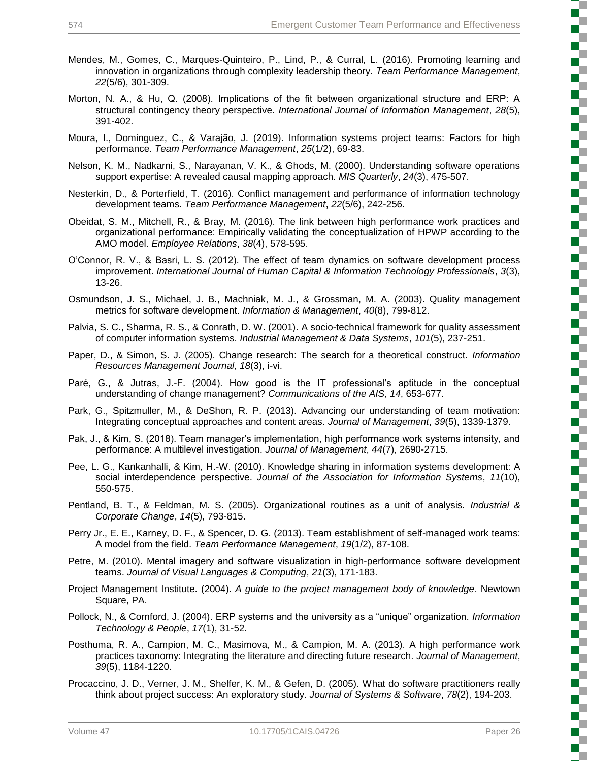- Mendes, M., Gomes, C., Marques-Quinteiro, P., Lind, P., & Curral, L. (2016). Promoting learning and innovation in organizations through complexity leadership theory. *Team Performance Management*, *22*(5/6), 301-309.
- Morton, N. A., & Hu, Q. (2008). Implications of the fit between organizational structure and ERP: A structural contingency theory perspective. *International Journal of Information Management*, *28*(5), 391-402.
- Moura, I., Dominguez, C., & Varajão, J. (2019). Information systems project teams: Factors for high performance. *Team Performance Management*, *25*(1/2), 69-83.
- Nelson, K. M., Nadkarni, S., Narayanan, V. K., & Ghods, M. (2000). Understanding software operations support expertise: A revealed causal mapping approach. *MIS Quarterly*, *24*(3), 475-507.
- Nesterkin, D., & Porterfield, T. (2016). Conflict management and performance of information technology development teams. *Team Performance Management*, *22*(5/6), 242-256.
- Obeidat, S. M., Mitchell, R., & Bray, M. (2016). The link between high performance work practices and organizational performance: Empirically validating the conceptualization of HPWP according to the AMO model. *Employee Relations*, *38*(4), 578-595.
- O'Connor, R. V., & Basri, L. S. (2012). The effect of team dynamics on software development process improvement. *International Journal of Human Capital & Information Technology Professionals*, *3*(3), 13-26.
- Osmundson, J. S., Michael, J. B., Machniak, M. J., & Grossman, M. A. (2003). Quality management metrics for software development. *Information & Management*, *40*(8), 799-812.
- Palvia, S. C., Sharma, R. S., & Conrath, D. W. (2001). A socio-technical framework for quality assessment of computer information systems. *Industrial Management & Data Systems*, *101*(5), 237-251.
- Paper, D., & Simon, S. J. (2005). Change research: The search for a theoretical construct. *Information Resources Management Journal*, *18*(3), i-vi.
- Paré, G., & Jutras, J.-F. (2004). How good is the IT professional's aptitude in the conceptual understanding of change management? *Communications of the AIS*, *14*, 653-677.
- Park, G., Spitzmuller, M., & DeShon, R. P. (2013). Advancing our understanding of team motivation: Integrating conceptual approaches and content areas. *Journal of Management*, *39*(5), 1339-1379.
- Pak, J., & Kim, S. (2018). Team manager's implementation, high performance work systems intensity, and performance: A multilevel investigation. *Journal of Management*, *44*(7), 2690-2715.
- Pee, L. G., Kankanhalli, & Kim, H.-W. (2010). Knowledge sharing in information systems development: A social interdependence perspective. *Journal of the Association for Information Systems*, *11*(10), 550-575.
- Pentland, B. T., & Feldman, M. S. (2005). Organizational routines as a unit of analysis. *Industrial & Corporate Change*, *14*(5), 793-815.
- Perry Jr., E. E., Karney, D. F., & Spencer, D. G. (2013). Team establishment of self-managed work teams: A model from the field. *Team Performance Management*, *19*(1/2), 87-108.
- Petre, M. (2010). Mental imagery and software visualization in high-performance software development teams. *Journal of Visual Languages & Computing*, *21*(3), 171-183.
- Project Management Institute. (2004). *A guide to the project management body of knowledge*. Newtown Square, PA.
- Pollock, N., & Cornford, J. (2004). ERP systems and the university as a "unique" organization. *Information Technology & People*, *17*(1), 31-52.
- Posthuma, R. A., Campion, M. C., Masimova, M., & Campion, M. A. (2013). A high performance work practices taxonomy: Integrating the literature and directing future research. *Journal of Management*, *39*(5), 1184-1220.
- Procaccino, J. D., Verner, J. M., Shelfer, K. M., & Gefen, D. (2005). What do software practitioners really think about project success: An exploratory study. *Journal of Systems & Software*, *78*(2), 194-203.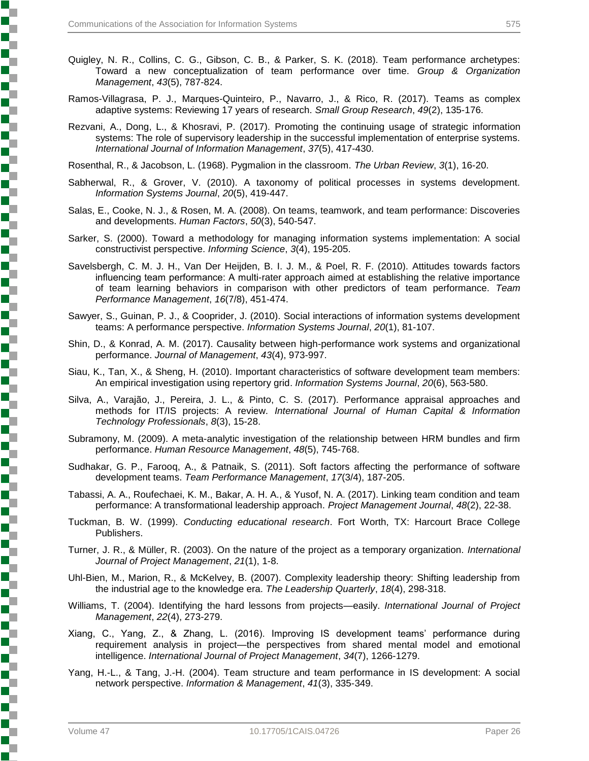- Quigley, N. R., Collins, C. G., Gibson, C. B., & Parker, S. K. (2018). Team performance archetypes: Toward a new conceptualization of team performance over time. *Group & Organization Management*, *43*(5), 787-824.
- Ramos-Villagrasa, P. J., Marques-Quinteiro, P., Navarro, J., & Rico, R. (2017). Teams as complex adaptive systems: Reviewing 17 years of research. *Small Group Research*, *49*(2), 135-176.
- Rezvani, A., Dong, L., & Khosravi, P. (2017). Promoting the continuing usage of strategic information systems: The role of supervisory leadership in the successful implementation of enterprise systems. *International Journal of Information Management*, *37*(5), 417-430.

Rosenthal, R., & Jacobson, L. (1968). Pygmalion in the classroom. *The Urban Review*, *3*(1), 16-20.

- Sabherwal, R., & Grover, V. (2010). A taxonomy of political processes in systems development. *Information Systems Journal*, *20*(5), 419-447.
- Salas, E., Cooke, N. J., & Rosen, M. A. (2008). On teams, teamwork, and team performance: Discoveries and developments. *Human Factors*, *50*(3), 540-547.
- Sarker, S. (2000). Toward a methodology for managing information systems implementation: A social constructivist perspective. *Informing Science*, *3*(4), 195-205.
- Savelsbergh, C. M. J. H., Van Der Heijden, B. I. J. M., & Poel, R. F. (2010). Attitudes towards factors influencing team performance: A multi-rater approach aimed at establishing the relative importance of team learning behaviors in comparison with other predictors of team performance. *Team Performance Management*, *16*(7/8), 451-474.
- Sawyer, S., Guinan, P. J., & Cooprider, J. (2010). Social interactions of information systems development teams: A performance perspective. *Information Systems Journal*, *20*(1), 81-107.
- Shin, D., & Konrad, A. M. (2017). Causality between high-performance work systems and organizational performance. *Journal of Management*, *43*(4), 973-997.
- Siau, K., Tan, X., & Sheng, H. (2010). Important characteristics of software development team members: An empirical investigation using repertory grid. *Information Systems Journal*, *20*(6), 563-580.
- Silva, A., Varajão, J., Pereira, J. L., & Pinto, C. S. (2017). Performance appraisal approaches and methods for IT/IS projects: A review. *International Journal of Human Capital & Information Technology Professionals*, *8*(3), 15-28.
- Subramony, M. (2009). A meta-analytic investigation of the relationship between HRM bundles and firm performance. *Human Resource Management*, *48*(5), 745-768.
- Sudhakar, G. P., Farooq, A., & Patnaik, S. (2011). Soft factors affecting the performance of software development teams. *Team Performance Management*, *17*(3/4), 187-205.
- Tabassi, A. A., Roufechaei, K. M., Bakar, A. H. A., & Yusof, N. A. (2017). Linking team condition and team performance: A transformational leadership approach. *Project Management Journal*, *48*(2), 22-38.
- Tuckman, B. W. (1999). *Conducting educational research*. Fort Worth, TX: Harcourt Brace College Publishers.
- Turner, J. R., & Müller, R. (2003). On the nature of the project as a temporary organization. *International Journal of Project Management*, *21*(1), 1-8.
- Uhl-Bien, M., Marion, R., & McKelvey, B. (2007). Complexity leadership theory: Shifting leadership from the industrial age to the knowledge era. *The Leadership Quarterly*, *18*(4), 298-318.
- Williams, T. (2004). Identifying the hard lessons from projects—easily. *International Journal of Project Management*, *22*(4), 273-279.
- Xiang, C., Yang, Z., & Zhang, L. (2016). Improving IS development teams' performance during requirement analysis in project—the perspectives from shared mental model and emotional intelligence. *International Journal of Project Management*, *34*(7), 1266-1279.
- Yang, H.-L., & Tang, J.-H. (2004). Team structure and team performance in IS development: A social network perspective. *Information & Management*, *41*(3), 335-349.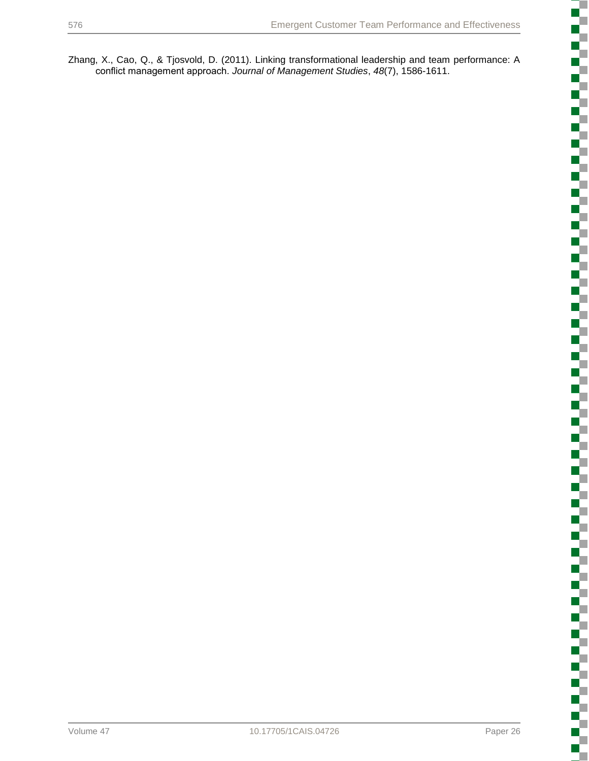Zhang, X., Cao, Q., & Tjosvold, D. (2011). Linking transformational leadership and team performance: A conflict management approach. *Journal of Management Studies*, *48*(7), 1586-1611.

ちょうかん かんかん かんかんかん

i<br>Sidoo

 $\Box$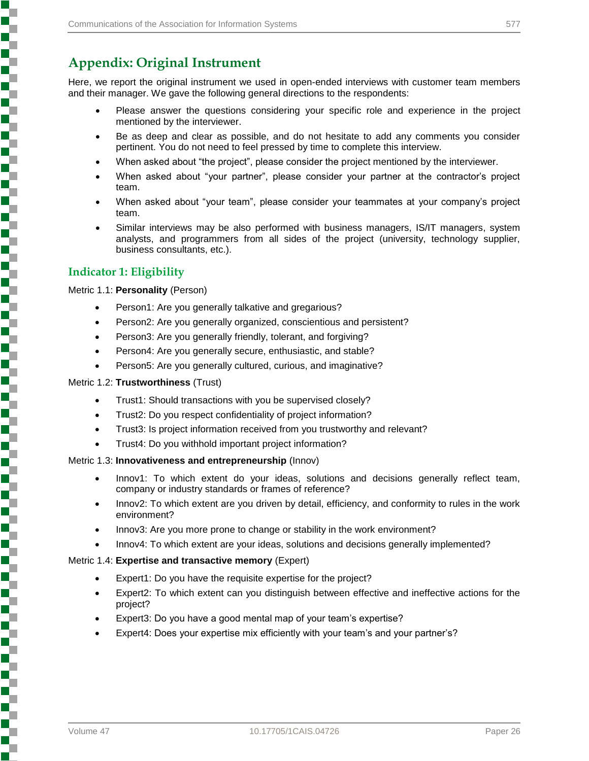## **Appendix: Original Instrument**

Here, we report the original instrument we used in open-ended interviews with customer team members and their manager. We gave the following general directions to the respondents:

- Please answer the questions considering your specific role and experience in the project mentioned by the interviewer.
- Be as deep and clear as possible, and do not hesitate to add any comments you consider pertinent. You do not need to feel pressed by time to complete this interview.
- When asked about "the project", please consider the project mentioned by the interviewer.
- When asked about "your partner", please consider your partner at the contractor's project team.
- When asked about "your team", please consider your teammates at your company's project team.
- Similar interviews may be also performed with business managers, IS/IT managers, system analysts, and programmers from all sides of the project (university, technology supplier, business consultants, etc.).

### **Indicator 1: Eligibility**

Metric 1.1: **Personality** (Person)

- Person1: Are you generally talkative and gregarious?
- Person2: Are you generally organized, conscientious and persistent?
- Person3: Are you generally friendly, tolerant, and forgiving?
- Person4: Are you generally secure, enthusiastic, and stable?
- Person5: Are you generally cultured, curious, and imaginative?

#### Metric 1.2: **Trustworthiness** (Trust)

- Trust1: Should transactions with you be supervised closely?
- Trust2: Do you respect confidentiality of project information?
- Trust3: Is project information received from you trustworthy and relevant?
- Trust4: Do you withhold important project information?

#### Metric 1.3: **Innovativeness and entrepreneurship** (Innov)

- Innov1: To which extent do your ideas, solutions and decisions generally reflect team, company or industry standards or frames of reference?
- Innov2: To which extent are you driven by detail, efficiency, and conformity to rules in the work environment?
- Innov3: Are you more prone to change or stability in the work environment?
- Innov4: To which extent are your ideas, solutions and decisions generally implemented?

#### Metric 1.4: **Expertise and transactive memory** (Expert)

- Expert1: Do you have the requisite expertise for the project?
- Expert2: To which extent can you distinguish between effective and ineffective actions for the project?
- Expert3: Do you have a good mental map of your team's expertise?
- Expert4: Does your expertise mix efficiently with your team's and your partner's?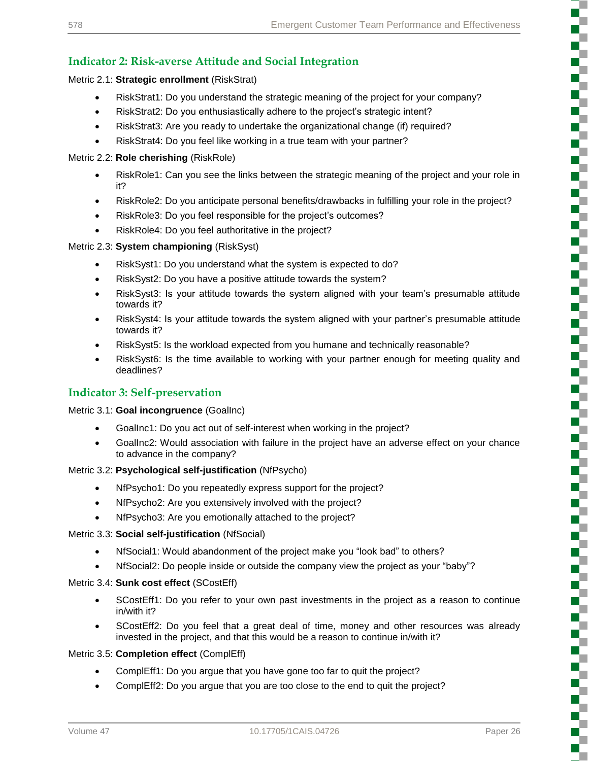## **Indicator 2: Risk-averse Attitude and Social Integration**

#### Metric 2.1: **Strategic enrollment** (RiskStrat)

- RiskStrat1: Do you understand the strategic meaning of the project for your company?
- RiskStrat2: Do you enthusiastically adhere to the project's strategic intent?
- RiskStrat3: Are you ready to undertake the organizational change (if) required?
- RiskStrat4: Do you feel like working in a true team with your partner?

#### Metric 2.2: **Role cherishing** (RiskRole)

- RiskRole1: Can you see the links between the strategic meaning of the project and your role in it?
- RiskRole2: Do you anticipate personal benefits/drawbacks in fulfilling your role in the project?
- RiskRole3: Do you feel responsible for the project's outcomes?
- RiskRole4: Do you feel authoritative in the project?

#### Metric 2.3: **System championing** (RiskSyst)

- RiskSyst1: Do you understand what the system is expected to do?
- RiskSyst2: Do you have a positive attitude towards the system?
- RiskSyst3: Is your attitude towards the system aligned with your team's presumable attitude towards it?
- RiskSyst4: Is your attitude towards the system aligned with your partner's presumable attitude towards it?
- RiskSyst5: Is the workload expected from you humane and technically reasonable?
- RiskSyst6: Is the time available to working with your partner enough for meeting quality and deadlines?

### **Indicator 3: Self-preservation**

#### Metric 3.1: **Goal incongruence** (GoalInc)

- GoalInc1: Do you act out of self-interest when working in the project?
- GoalInc2: Would association with failure in the project have an adverse effect on your chance to advance in the company?

#### Metric 3.2: **Psychological self-justification** (NfPsycho)

- NfPsycho1: Do you repeatedly express support for the project?
- NfPsycho2: Are you extensively involved with the project?
- NfPsycho3: Are you emotionally attached to the project?

#### Metric 3.3: **Social self-justification** (NfSocial)

- NfSocial1: Would abandonment of the project make you "look bad" to others?
- NfSocial2: Do people inside or outside the company view the project as your "baby"?

#### Metric 3.4: **Sunk cost effect** (SCostEff)

- SCostEff1: Do you refer to your own past investments in the project as a reason to continue in/with it?
- SCostEff2: Do you feel that a great deal of time, money and other resources was already invested in the project, and that this would be a reason to continue in/with it?

#### Metric 3.5: **Completion effect** (ComplEff)

- ComplEff1: Do you argue that you have gone too far to quit the project?
- ComplEff2: Do you argue that you are too close to the end to quit the project?

t

į

ŝ

₹

l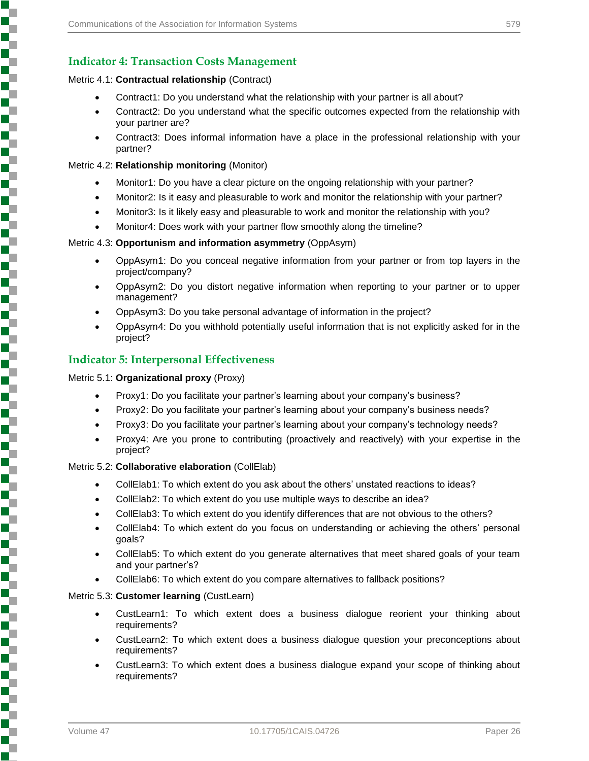#### Metric 4.1: **Contractual relationship** (Contract)

- Contract1: Do you understand what the relationship with your partner is all about?
- Contract2: Do you understand what the specific outcomes expected from the relationship with your partner are?
- Contract3: Does informal information have a place in the professional relationship with your partner?

#### Metric 4.2: **Relationship monitoring** (Monitor)

- Monitor1: Do you have a clear picture on the ongoing relationship with your partner?
- Monitor2: Is it easy and pleasurable to work and monitor the relationship with your partner?
- Monitor3: Is it likely easy and pleasurable to work and monitor the relationship with you?
- Monitor4: Does work with your partner flow smoothly along the timeline?

#### Metric 4.3: **Opportunism and information asymmetry** (OppAsym)

- OppAsym1: Do you conceal negative information from your partner or from top layers in the project/company?
- OppAsym2: Do you distort negative information when reporting to your partner or to upper management?
- OppAsym3: Do you take personal advantage of information in the project?
- OppAsym4: Do you withhold potentially useful information that is not explicitly asked for in the project?

#### **Indicator 5: Interpersonal Effectiveness**

#### Metric 5.1: **Organizational proxy** (Proxy)

Ŧ

- Proxy1: Do you facilitate your partner's learning about your company's business?
- Proxy2: Do you facilitate your partner's learning about your company's business needs?
- Proxy3: Do you facilitate your partner's learning about your company's technology needs?
- Proxy4: Are you prone to contributing (proactively and reactively) with your expertise in the project?

#### Metric 5.2: **Collaborative elaboration** (CollElab)

- CollElab1: To which extent do you ask about the others' unstated reactions to ideas?
- CollElab2: To which extent do you use multiple ways to describe an idea?
- CollElab3: To which extent do you identify differences that are not obvious to the others?
- CollElab4: To which extent do you focus on understanding or achieving the others' personal goals?
- CollElab5: To which extent do you generate alternatives that meet shared goals of your team and your partner's?
- CollElab6: To which extent do you compare alternatives to fallback positions?

#### Metric 5.3: **Customer learning** (CustLearn)

- CustLearn1: To which extent does a business dialogue reorient your thinking about requirements?
- CustLearn2: To which extent does a business dialogue question your preconceptions about requirements?
- CustLearn3: To which extent does a business dialogue expand your scope of thinking about requirements?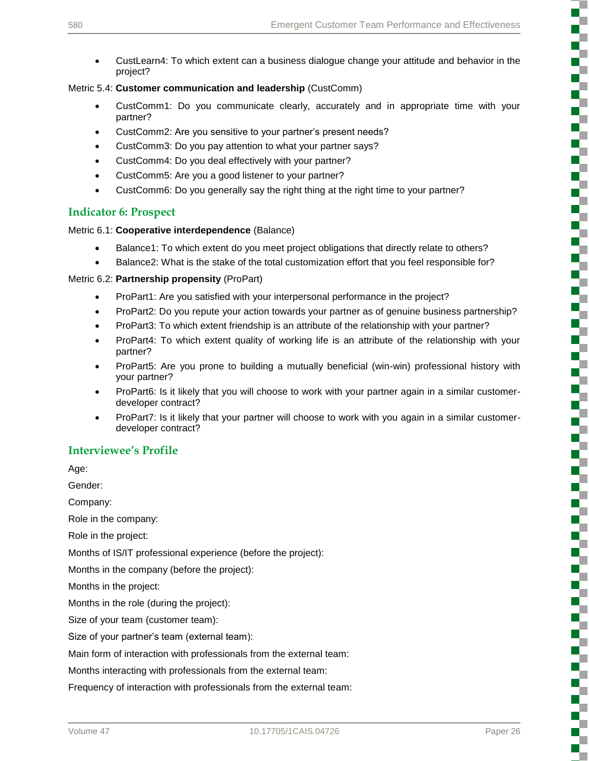3

S

š

Ş

į

₽

Š

Ş

 CustLearn4: To which extent can a business dialogue change your attitude and behavior in the project?

#### Metric 5.4: **Customer communication and leadership** (CustComm)

- CustComm1: Do you communicate clearly, accurately and in appropriate time with your partner?
- CustComm2: Are you sensitive to your partner's present needs?
- CustComm3: Do you pay attention to what your partner says?
- CustComm4: Do you deal effectively with your partner?
- CustComm5: Are you a good listener to your partner?
- CustComm6: Do you generally say the right thing at the right time to your partner?

### **Indicator 6: Prospect**

#### Metric 6.1: **Cooperative interdependence** (Balance)

- Balance1: To which extent do you meet project obligations that directly relate to others?
- Balance2: What is the stake of the total customization effort that you feel responsible for?

#### Metric 6.2: **Partnership propensity** (ProPart)

- ProPart1: Are you satisfied with your interpersonal performance in the project?
- ProPart2: Do you repute your action towards your partner as of genuine business partnership?
- ProPart3: To which extent friendship is an attribute of the relationship with your partner?
- ProPart4: To which extent quality of working life is an attribute of the relationship with your partner?
- ProPart5: Are you prone to building a mutually beneficial (win-win) professional history with your partner?
- ProPart6: Is it likely that you will choose to work with your partner again in a similar customerdeveloper contract?
- ProPart7: Is it likely that your partner will choose to work with you again in a similar customerdeveloper contract?

## **Interviewee's Profile**

Age:

Gender:

Company:

Role in the company:

Role in the project:

Months of IS/IT professional experience (before the project):

Months in the company (before the project):

Months in the project:

Months in the role (during the project):

Size of your team (customer team):

Size of your partner's team (external team):

Main form of interaction with professionals from the external team:

Months interacting with professionals from the external team:

Frequency of interaction with professionals from the external team: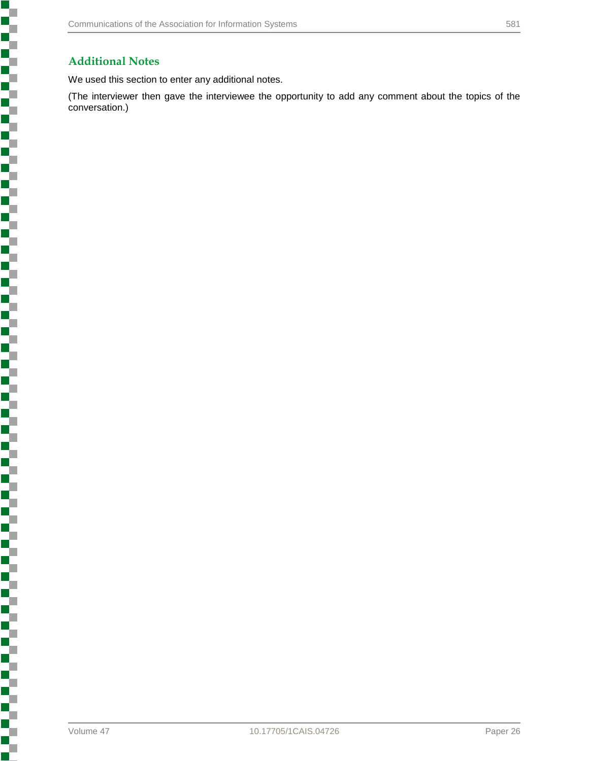## **Additional Notes**

Š

,我们的一个人,我们的一个人,我们的一个人,我们的一个人,我们的一个人,我们的一个人,我们的一个人,我们的一个人,我们的一个人,我们的一个人,我们的一个人,我们

J,

We used this section to enter any additional notes.

(The interviewer then gave the interviewee the opportunity to add any comment about the topics of the conversation.)